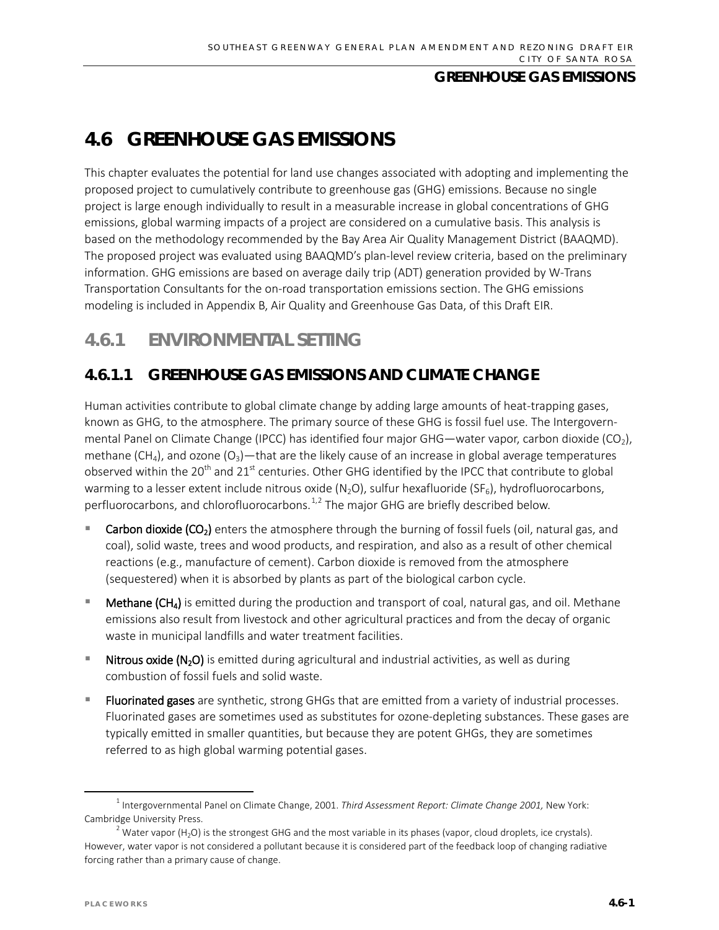# **4.6 GREENHOUSE GAS EMISSIONS**

This chapter evaluates the potential for land use changes associated with adopting and implementing the proposed project to cumulatively contribute to greenhouse gas (GHG) emissions. Because no single project is large enough individually to result in a measurable increase in global concentrations of GHG emissions, global warming impacts of a project are considered on a cumulative basis. This analysis is based on the methodology recommended by the Bay Area Air Quality Management District (BAAQMD). The proposed project was evaluated using BAAQMD's plan-level review criteria, based on the preliminary information. GHG emissions are based on average daily trip (ADT) generation provided by W-Trans Transportation Consultants for the on-road transportation emissions section. The GHG emissions modeling is included in Appendix B, Air Quality and Greenhouse Gas Data, of this Draft EIR.

# **4.6.1 ENVIRONMENTAL SETTING**

# **4.6.1.1 GREENHOUSE GAS EMISSIONS AND CLIMATE CHANGE**

Human activities contribute to global climate change by adding large amounts of heat-trapping gases, known as GHG, to the atmosphere. The primary source of these GHG is fossil fuel use. The Intergovernmental Panel on Climate Change (IPCC) has identified four major GHG—water vapor, carbon dioxide (CO<sub>2</sub>), methane (CH<sub>4</sub>), and ozone (O<sub>3</sub>)—that are the likely cause of an increase in global average temperatures observed within the 20<sup>th</sup> and 21<sup>st</sup> centuries. Other GHG identified by the IPCC that contribute to global warming to a lesser extent include nitrous oxide  $(N_2O)$ , sulfur hexafluoride (SF<sub>6</sub>), hydrofluorocarbons, perfluorocarbons, and chlorofluorocarbons.<sup>[1,](#page-0-0)[2](#page-0-1)</sup> The major GHG are briefly described below.

- Carbon dioxide (CO<sub>2</sub>) enters the atmosphere through the burning of fossil fuels (oil, natural gas, and coal), solid waste, trees and wood products, and respiration, and also as a result of other chemical reactions (e.g., manufacture of cement). Carbon dioxide is removed from the atmosphere (sequestered) when it is absorbed by plants as part of the biological carbon cycle.
- Methane  $(CH<sub>a</sub>)$  is emitted during the production and transport of coal, natural gas, and oil. Methane emissions also result from livestock and other agricultural practices and from the decay of organic waste in municipal landfills and water treatment facilities.
- **Nitrous oxide (N<sub>2</sub>O)** is emitted during agricultural and industrial activities, as well as during combustion of fossil fuels and solid waste.
- Fluorinated gases are synthetic, strong GHGs that are emitted from a variety of industrial processes. Fluorinated gases are sometimes used as substitutes for ozone-depleting substances. These gases are typically emitted in smaller quantities, but because they are potent GHGs, they are sometimes referred to as high global warming potential gases.

<span id="page-0-0"></span> <sup>1</sup> Intergovernmental Panel on Climate Change, 2001. *Third Assessment Report: Climate Change 2001,* New York: Cambridge University Press.

<span id="page-0-1"></span><sup>&</sup>lt;sup>2</sup> Water vapor (H<sub>2</sub>O) is the strongest GHG and the most variable in its phases (vapor, cloud droplets, ice crystals). However, water vapor is not considered a pollutant because it is considered part of the feedback loop of changing radiative forcing rather than a primary cause of change.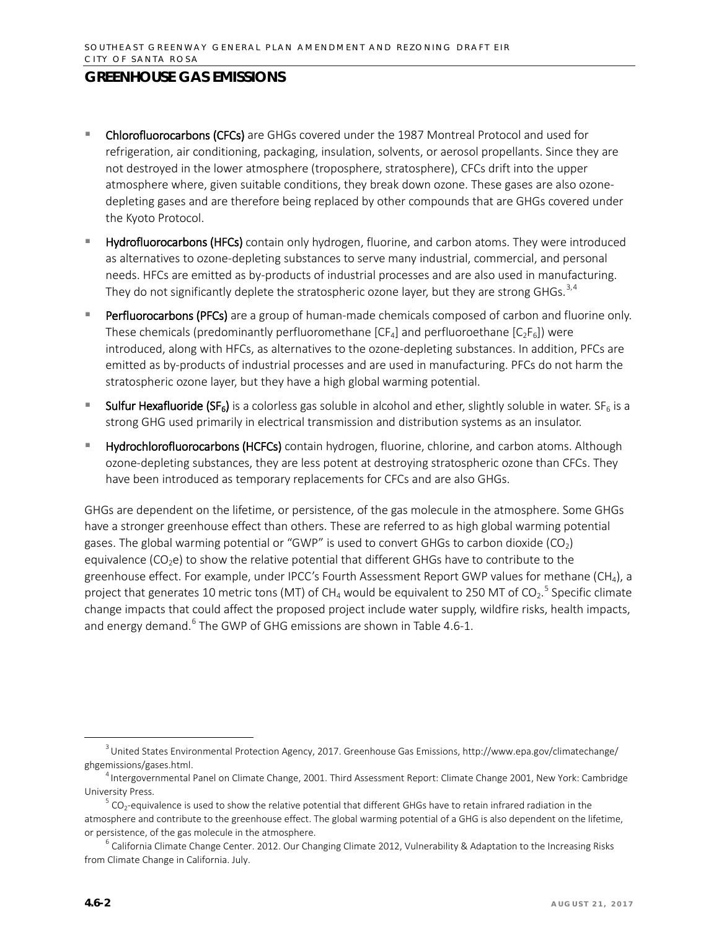- **Chlorofluorocarbons (CFCs)** are GHGs covered under the 1987 Montreal Protocol and used for refrigeration, air conditioning, packaging, insulation, solvents, or aerosol propellants. Since they are not destroyed in the lower atmosphere (troposphere, stratosphere), CFCs drift into the upper atmosphere where, given suitable conditions, they break down ozone. These gases are also ozonedepleting gases and are therefore being replaced by other compounds that are GHGs covered under the Kyoto Protocol.
- Hydrofluorocarbons (HFCs) contain only hydrogen, fluorine, and carbon atoms. They were introduced as alternatives to ozone-depleting substances to serve many industrial, commercial, and personal needs. HFCs are emitted as by-products of industrial processes and are also used in manufacturing. They do not significantly deplete the stratospheric ozone layer, but they are strong GHGs.<sup>[3](#page-1-0),[4](#page-1-1)</sup>
- Perfluorocarbons (PFCs) are a group of human-made chemicals composed of carbon and fluorine only. These chemicals (predominantly perfluoromethane  $[CF_4]$  and perfluoroethane  $[C_2F_6]$ ) were introduced, along with HFCs, as alternatives to the ozone-depleting substances. In addition, PFCs are emitted as by-products of industrial processes and are used in manufacturing. PFCs do not harm the stratospheric ozone layer, but they have a high global warming potential.
- **Sulfur Hexafluoride (SF<sub>6</sub>)** is a colorless gas soluble in alcohol and ether, slightly soluble in water. SF<sub>6</sub> is a strong GHG used primarily in electrical transmission and distribution systems as an insulator.
- Hydrochlorofluorocarbons (HCFCs) contain hydrogen, fluorine, chlorine, and carbon atoms. Although ozone-depleting substances, they are less potent at destroying stratospheric ozone than CFCs. They have been introduced as temporary replacements for CFCs and are also GHGs.

GHGs are dependent on the lifetime, or persistence, of the gas molecule in the atmosphere. Some GHGs have a stronger greenhouse effect than others. These are referred to as high global warming potential gases. The global warming potential or "GWP" is used to convert GHGs to carbon dioxide (CO<sub>2</sub>) equivalence ( $CO<sub>2</sub>e$ ) to show the relative potential that different GHGs have to contribute to the greenhouse effect. For example, under IPCC's Fourth Assessment Report GWP values for methane (CH<sub>4</sub>), a project that generates 10 metric tons (MT) of CH<sub>4</sub> would be equivalent to 2[5](#page-1-2)0 MT of CO<sub>2</sub>.<sup>5</sup> Specific climate change impacts that could affect the proposed project include water supply, wildfire risks, health impacts, and energy demand.<sup>[6](#page-1-3)</sup> The GWP of GHG emissions are shown in Table 4.6-1.

<span id="page-1-0"></span> <sup>3</sup>  $3$  United States Environmental Protection Agency, 2017. Greenhouse Gas Emissions, http://www.epa.gov/climatechange/ ghgemissions/gases.html.

<span id="page-1-1"></span><sup>&</sup>lt;sup>4</sup> Intergovernmental Panel on Climate Change, 2001. Third Assessment Report: Climate Change 2001, New York: Cambridge University Press.

<span id="page-1-2"></span> $^5$  CO<sub>2</sub>-equivalence is used to show the relative potential that different GHGs have to retain infrared radiation in the atmosphere and contribute to the greenhouse effect. The global warming potential of a GHG is also dependent on the lifetime, or persistence, of the gas molecule in the atmosphere.

<span id="page-1-3"></span> $^6$  California Climate Change Center. 2012. Our Changing Climate 2012, Vulnerability & Adaptation to the Increasing Risks from Climate Change in California. July.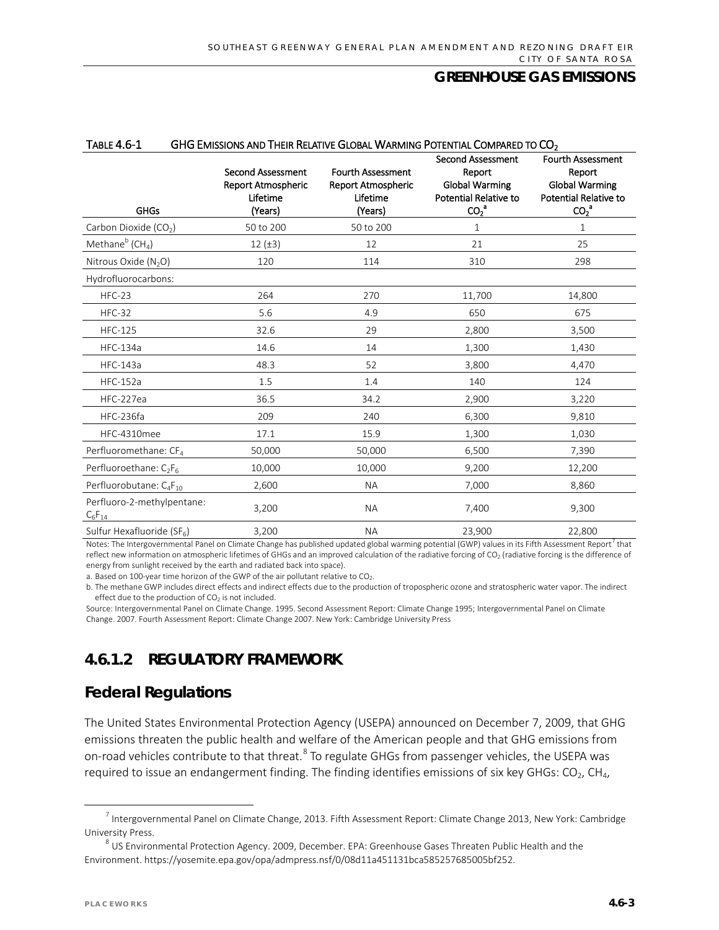| <b>TABLE 4.6-1</b><br>GHG EMISSIONS AND THEIR RELATIVE GLOBAL WARMING POTENTIAL COMPARED TO CO <sub>2</sub> |                                                                       |                                                                       |                                                                                                                             |                                                                                                                      |
|-------------------------------------------------------------------------------------------------------------|-----------------------------------------------------------------------|-----------------------------------------------------------------------|-----------------------------------------------------------------------------------------------------------------------------|----------------------------------------------------------------------------------------------------------------------|
| <b>GHGs</b>                                                                                                 | <b>Second Assessment</b><br>Report Atmospheric<br>Lifetime<br>(Years) | <b>Fourth Assessment</b><br>Report Atmospheric<br>Lifetime<br>(Years) | <b>Second Assessment</b><br>Report<br><b>Global Warming</b><br><b>Potential Relative to</b><br>CO <sub>2</sub> <sup>a</sup> | Fourth Assessment<br>Report<br><b>Global Warming</b><br><b>Potential Relative to</b><br>CO <sub>2</sub> <sup>a</sup> |
| Carbon Dioxide (CO <sub>2</sub> )                                                                           | 50 to 200                                                             | 50 to 200                                                             | 1                                                                                                                           | $\mathbf{1}$                                                                                                         |
| Methane <sup>b</sup> (CH <sub>4</sub> )                                                                     | 12(±3)                                                                | 12                                                                    | 21                                                                                                                          | 25                                                                                                                   |
| Nitrous Oxide (N <sub>2</sub> O)                                                                            | 120                                                                   | 114                                                                   | 310                                                                                                                         | 298                                                                                                                  |
| Hydrofluorocarbons:                                                                                         |                                                                       |                                                                       |                                                                                                                             |                                                                                                                      |
| $HFC-23$                                                                                                    | 264                                                                   | 270                                                                   | 11,700                                                                                                                      | 14,800                                                                                                               |
| $HFC-32$                                                                                                    | 5.6                                                                   | 4.9                                                                   | 650                                                                                                                         | 675                                                                                                                  |
| <b>HFC-125</b>                                                                                              | 32.6                                                                  | 29                                                                    | 2,800                                                                                                                       | 3,500                                                                                                                |
| <b>HFC-134a</b>                                                                                             | 14.6                                                                  | 14                                                                    | 1,300                                                                                                                       | 1,430                                                                                                                |
| <b>HFC-143a</b>                                                                                             | 48.3                                                                  | 52                                                                    | 3,800                                                                                                                       | 4,470                                                                                                                |
| <b>HFC-152a</b>                                                                                             | 1.5                                                                   | 1.4                                                                   | 140                                                                                                                         | 124                                                                                                                  |
| HFC-227ea                                                                                                   | 36.5                                                                  | 34.2                                                                  | 2,900                                                                                                                       | 3,220                                                                                                                |
| HFC-236fa                                                                                                   | 209                                                                   | 240                                                                   | 6,300                                                                                                                       | 9.810                                                                                                                |
| HFC-4310mee                                                                                                 | 17.1                                                                  | 15.9                                                                  | 1,300                                                                                                                       | 1,030                                                                                                                |
| Perfluoromethane: CF <sub>4</sub>                                                                           | 50,000                                                                | 50,000                                                                | 6,500                                                                                                                       | 7,390                                                                                                                |
| Perfluoroethane: C <sub>2</sub> F <sub>6</sub>                                                              | 10,000                                                                | 10,000                                                                | 9,200                                                                                                                       | 12,200                                                                                                               |
| Perfluorobutane: C <sub>4</sub> F <sub>10</sub>                                                             | 2,600                                                                 | <b>NA</b>                                                             | 7,000                                                                                                                       | 8,860                                                                                                                |
| Perfluoro-2-methylpentane:<br>$C_6F_{14}$                                                                   | 3,200                                                                 | <b>NA</b>                                                             | 7,400                                                                                                                       | 9,300                                                                                                                |
| Sulfur Hexafluoride (SF6)                                                                                   | 3,200                                                                 | <b>NA</b>                                                             | 23,900                                                                                                                      | 22,800                                                                                                               |

Notes: The Intergovernmental Panel on Climate Change has published updated global warming potential (GWP) values in its Fifth Assessment Report<sup>[7](#page-2-0)</sup> that reflect new information on atmospheric lifetimes of GHGs and an improved calculation of the radiative forcing of CO<sub>2</sub> (radiative forcing is the difference of energy from sunlight received by the earth and radiated back into space).

a. Based on 100-year time horizon of the GWP of the air pollutant relative to  $CO_2$ .

b. The methane GWP includes direct effects and indirect effects due to the production of tropospheric ozone and stratospheric water vapor. The indirect effect due to the production of  $CO<sub>2</sub>$  is not included.

Source: Intergovernmental Panel on Climate Change. 1995. Second Assessment Report: Climate Change 1995; Intergovernmental Panel on Climate Change. 2007. Fourth Assessment Report: Climate Change 2007. New York: Cambridge University Press

# **4.6.1.2 REGULATORY FRAMEWORK**

# **Federal Regulations**

The United States Environmental Protection Agency (USEPA) announced on December 7, 2009, that GHG emissions threaten the public health and welfare of the American people and that GHG emissions from on-road vehicles contribute to that threat.<sup>[8](#page-2-1)</sup> To regulate GHGs from passenger vehicles, the USEPA was required to issue an endangerment finding. The finding identifies emissions of six key GHGs:  $CO<sub>2</sub>$ ,  $CH<sub>4</sub>$ ,

<span id="page-2-0"></span> $<sup>7</sup>$  Intergovernmental Panel on Climate Change, 2013. Fifth Assessment Report: Climate Change 2013, New York: Cambridge</sup> University Press.

<span id="page-2-1"></span><sup>&</sup>lt;sup>8</sup> US Environmental Protection Agency. 2009, December. EPA: Greenhouse Gases Threaten Public Health and the Environment. https://yosemite.epa.gov/opa/admpress.nsf/0/08d11a451131bca585257685005bf252.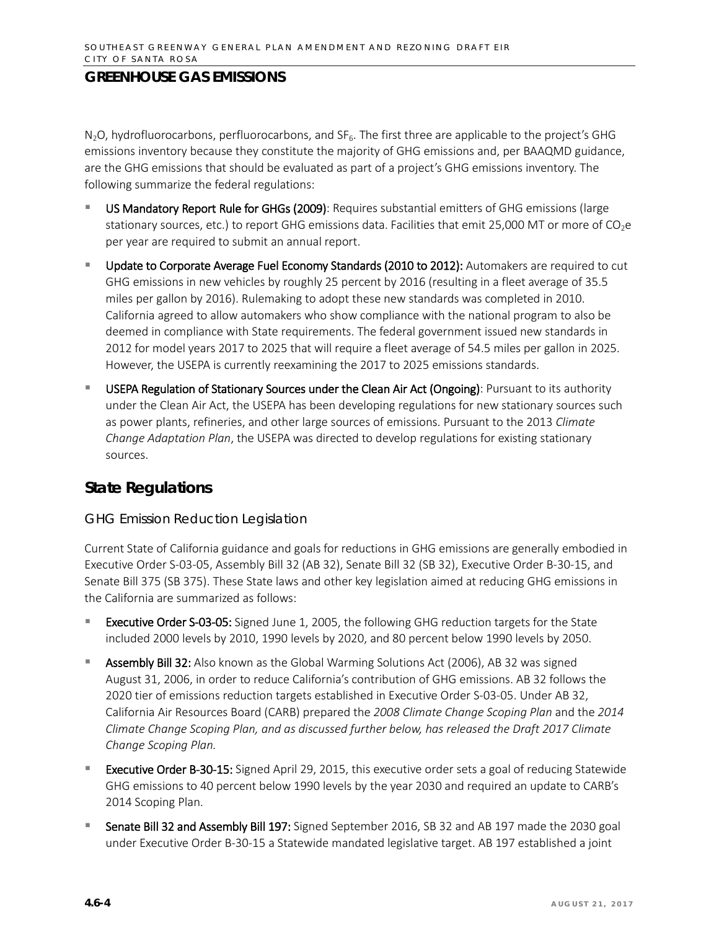$N_2O$ , hydrofluorocarbons, perfluorocarbons, and SF<sub>6</sub>. The first three are applicable to the project's GHG emissions inventory because they constitute the majority of GHG emissions and, per BAAQMD guidance, are the GHG emissions that should be evaluated as part of a project's GHG emissions inventory. The following summarize the federal regulations:

- US Mandatory Report Rule for GHGs (2009): Requires substantial emitters of GHG emissions (large stationary sources, etc.) to report GHG emissions data. Facilities that emit 25,000 MT or more of  $CO<sub>2</sub>e$ per year are required to submit an annual report.
- **Update to Corporate Average Fuel Economy Standards (2010 to 2012):** Automakers are required to cut GHG emissions in new vehicles by roughly 25 percent by 2016 (resulting in a fleet average of 35.5 miles per gallon by 2016). Rulemaking to adopt these new standards was completed in 2010. California agreed to allow automakers who show compliance with the national program to also be deemed in compliance with State requirements. The federal government issued new standards in 2012 for model years 2017 to 2025 that will require a fleet average of 54.5 miles per gallon in 2025. However, the USEPA is currently reexamining the 2017 to 2025 emissions standards.
- USEPA Regulation of Stationary Sources under the Clean Air Act (Ongoing): Pursuant to its authority under the Clean Air Act, the USEPA has been developing regulations for new stationary sources such as power plants, refineries, and other large sources of emissions. Pursuant to the 2013 *Climate Change Adaptation Plan*, the USEPA was directed to develop regulations for existing stationary sources.

# **State Regulations**

### *GHG Emission Reduction Legislation*

Current State of California guidance and goals for reductions in GHG emissions are generally embodied in Executive Order S-03-05, Assembly Bill 32 (AB 32), Senate Bill 32 (SB 32), Executive Order B-30-15, and Senate Bill 375 (SB 375). These State laws and other key legislation aimed at reducing GHG emissions in the California are summarized as follows:

- Executive Order S-03-05: Signed June 1, 2005, the following GHG reduction targets for the State included 2000 levels by 2010, 1990 levels by 2020, and 80 percent below 1990 levels by 2050.
- Assembly Bill 32: Also known as the Global Warming Solutions Act (2006), AB 32 was signed August 31, 2006, in order to reduce California's contribution of GHG emissions. AB 32 follows the 2020 tier of emissions reduction targets established in Executive Order S-03-05. Under AB 32, California Air Resources Board (CARB) prepared the *2008 Climate Change Scoping Plan* and the *2014 Climate Change Scoping Plan, and as discussed further below, has released the Draft 2017 Climate Change Scoping Plan.*
- Executive Order B-30-15: Signed April 29, 2015, this executive order sets a goal of reducing Statewide GHG emissions to 40 percent below 1990 levels by the year 2030 and required an update to CARB's 2014 Scoping Plan.
- Senate Bill 32 and Assembly Bill 197: Signed September 2016, SB 32 and AB 197 made the 2030 goal under Executive Order B-30-15 a Statewide mandated legislative target. AB 197 established a joint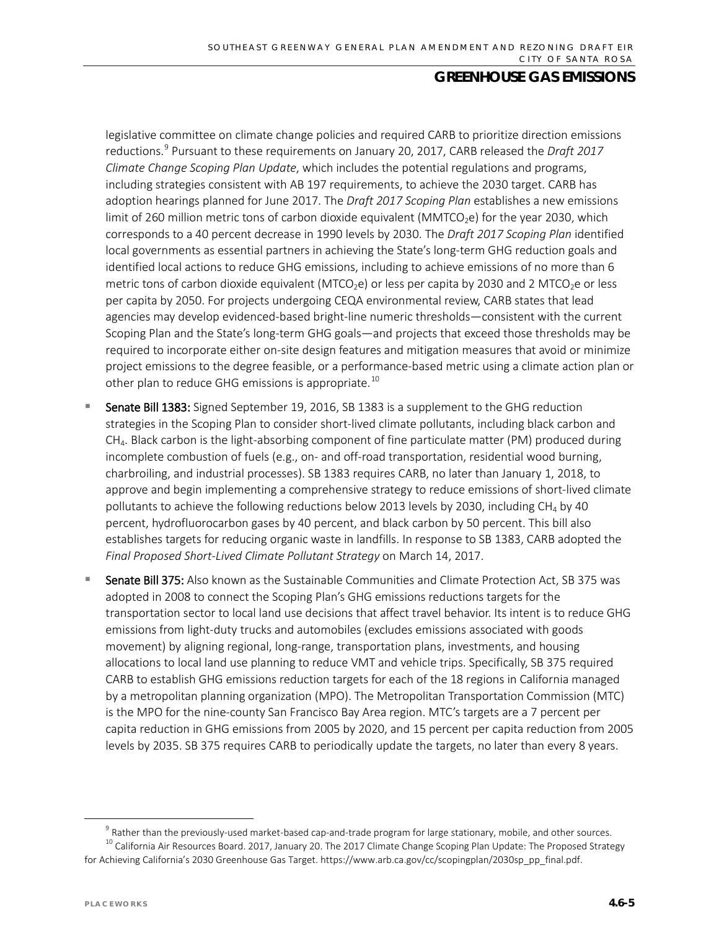legislative committee on climate change policies and required CARB to prioritize direction emissions reductions.[9](#page-4-0) Pursuant to these requirements on January 20, 2017, CARB released the *Draft 2017 Climate Change Scoping Plan Update*, which includes the potential regulations and programs, including strategies consistent with AB 197 requirements, to achieve the 2030 target. CARB has adoption hearings planned for June 2017. The *Draft 2017 Scoping Plan* establishes a new emissions limit of 260 million metric tons of carbon dioxide equivalent (MMTCO<sub>2</sub>e) for the year 2030, which corresponds to a 40 percent decrease in 1990 levels by 2030. The *Draft 2017 Scoping Plan* identified local governments as essential partners in achieving the State's long-term GHG reduction goals and identified local actions to reduce GHG emissions, including to achieve emissions of no more than 6 metric tons of carbon dioxide equivalent (MTCO<sub>2</sub>e) or less per capita by 2030 and 2 MTCO<sub>2</sub>e or less per capita by 2050. For projects undergoing CEQA environmental review, CARB states that lead agencies may develop evidenced-based bright-line numeric thresholds—consistent with the current Scoping Plan and the State's long-term GHG goals—and projects that exceed those thresholds may be required to incorporate either on-site design features and mitigation measures that avoid or minimize project emissions to the degree feasible, or a performance-based metric using a climate action plan or other plan to reduce GHG emissions is appropriate.<sup>[10](#page-4-1)</sup>

- Senate Bill 1383: Signed September 19, 2016, SB 1383 is a supplement to the GHG reduction strategies in the Scoping Plan to consider short-lived climate pollutants, including black carbon and  $CH<sub>4</sub>$ . Black carbon is the light-absorbing component of fine particulate matter (PM) produced during incomplete combustion of fuels (e.g., on- and off-road transportation, residential wood burning, charbroiling, and industrial processes). SB 1383 requires CARB, no later than January 1, 2018, to approve and begin implementing a comprehensive strategy to reduce emissions of short-lived climate pollutants to achieve the following reductions below 2013 levels by 2030, including  $CH_4$  by 40 percent, hydrofluorocarbon gases by 40 percent, and black carbon by 50 percent. This bill also establishes targets for reducing organic waste in landfills. In response to SB 1383, CARB adopted the *Final Proposed Short-Lived Climate Pollutant Strategy* on March 14, 2017.
- Senate Bill 375: Also known as the Sustainable Communities and Climate Protection Act, SB 375 was adopted in 2008 to connect the Scoping Plan's GHG emissions reductions targets for the transportation sector to local land use decisions that affect travel behavior. Its intent is to reduce GHG emissions from light-duty trucks and automobiles (excludes emissions associated with goods movement) by aligning regional, long-range, transportation plans, investments, and housing allocations to local land use planning to reduce VMT and vehicle trips. Specifically, SB 375 required CARB to establish GHG emissions reduction targets for each of the 18 regions in California managed by a metropolitan planning organization (MPO). The Metropolitan Transportation Commission (MTC) is the MPO for the nine-county San Francisco Bay Area region. MTC's targets are a 7 percent per capita reduction in GHG emissions from 2005 by 2020, and 15 percent per capita reduction from 2005 levels by 2035. SB 375 requires CARB to periodically update the targets, no later than every 8 years.

<sup>&</sup>lt;sup>9</sup> Rather than the previously-used market-based cap-and-trade program for large stationary, mobile, and other sources. <sup>10</sup> California Air Resources Board. 2017, January 20. The 2017 Climate Change Scoping Plan Update: The Proposed Strategy

<span id="page-4-1"></span><span id="page-4-0"></span>for Achieving California's 2030 Greenhouse Gas Target. https://www.arb.ca.gov/cc/scopingplan/2030sp\_pp\_final.pdf.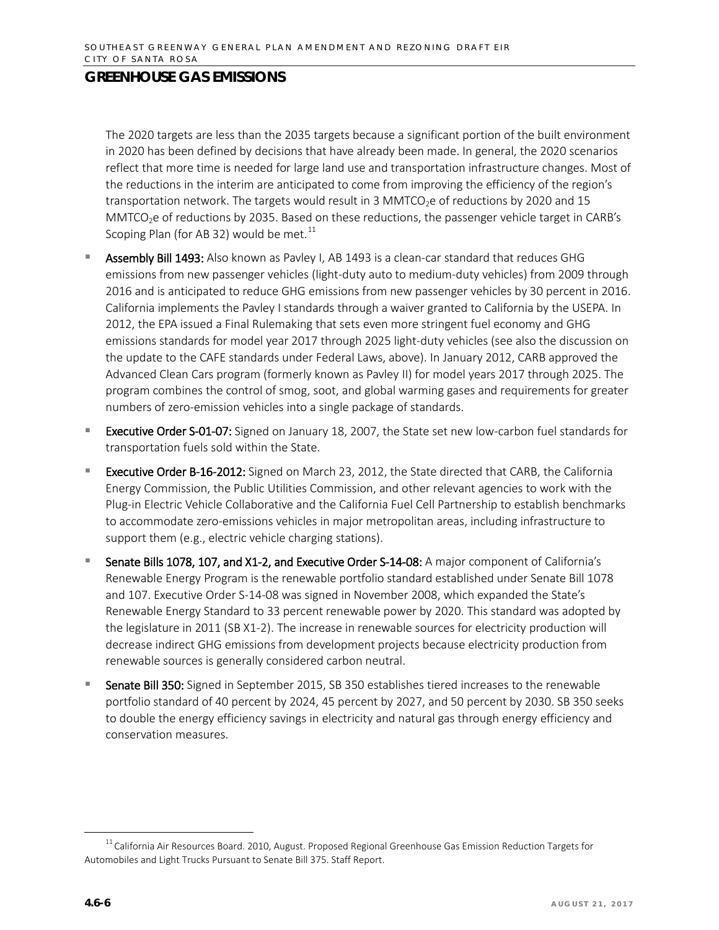The 2020 targets are less than the 2035 targets because a significant portion of the built environment in 2020 has been defined by decisions that have already been made. In general, the 2020 scenarios reflect that more time is needed for large land use and transportation infrastructure changes. Most of the reductions in the interim are anticipated to come from improving the efficiency of the region's transportation network. The targets would result in 3 MMTCO<sub>2</sub>e of reductions by 2020 and 15  $MMTCO<sub>2</sub>e$  of reductions by 2035. Based on these reductions, the passenger vehicle target in CARB's Scoping Plan (for AB 32) would be met. $^{11}$  $^{11}$  $^{11}$ 

- Assembly Bill 1493: Also known as Pavley I, AB 1493 is a clean-car standard that reduces GHG emissions from new passenger vehicles (light-duty auto to medium-duty vehicles) from 2009 through 2016 and is anticipated to reduce GHG emissions from new passenger vehicles by 30 percent in 2016. California implements the Pavley I standards through a waiver granted to California by the USEPA. In 2012, the EPA issued a Final Rulemaking that sets even more stringent fuel economy and GHG emissions standards for model year 2017 through 2025 light-duty vehicles (see also the discussion on the update to the CAFE standards under Federal Laws, above). In January 2012, CARB approved the Advanced Clean Cars program (formerly known as Pavley II) for model years 2017 through 2025. The program combines the control of smog, soot, and global warming gases and requirements for greater numbers of zero-emission vehicles into a single package of standards.
- Executive Order S-01-07: Signed on January 18, 2007, the State set new low-carbon fuel standards for transportation fuels sold within the State.
- Executive Order B-16-2012: Signed on March 23, 2012, the State directed that CARB, the California Energy Commission, the Public Utilities Commission, and other relevant agencies to work with the Plug-in Electric Vehicle Collaborative and the California Fuel Cell Partnership to establish benchmarks to accommodate zero-emissions vehicles in major metropolitan areas, including infrastructure to support them (e.g., electric vehicle charging stations).
- Senate Bills 1078, 107, and X1-2, and Executive Order S-14-08: A major component of California's Renewable Energy Program is the renewable portfolio standard established under Senate Bill 1078 and 107. Executive Order S-14-08 was signed in November 2008, which expanded the State's Renewable Energy Standard to 33 percent renewable power by 2020. This standard was adopted by the legislature in 2011 (SB X1-2). The increase in renewable sources for electricity production will decrease indirect GHG emissions from development projects because electricity production from renewable sources is generally considered carbon neutral.
- Senate Bill 350: Signed in September 2015, SB 350 establishes tiered increases to the renewable portfolio standard of 40 percent by 2024, 45 percent by 2027, and 50 percent by 2030. SB 350 seeks to double the energy efficiency savings in electricity and natural gas through energy efficiency and conservation measures.

<span id="page-5-0"></span> $11$  California Air Resources Board. 2010, August. Proposed Regional Greenhouse Gas Emission Reduction Targets for Automobiles and Light Trucks Pursuant to Senate Bill 375. Staff Report.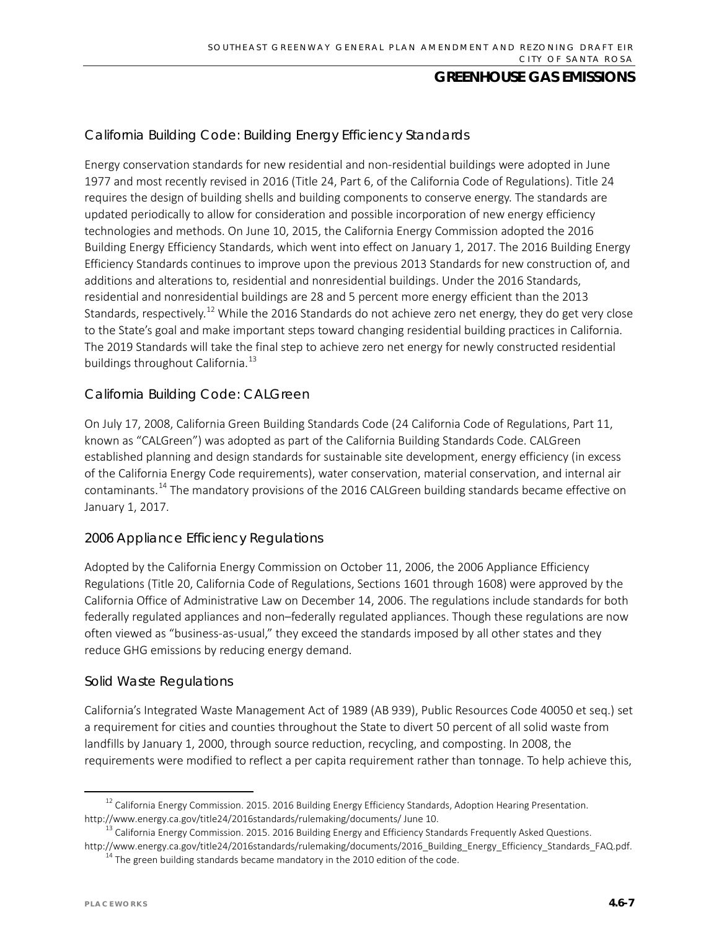# *California Building Code: Building Energy Efficiency Standards*

Energy conservation standards for new residential and non-residential buildings were adopted in June 1977 and most recently revised in 2016 (Title 24, Part 6, of the California Code of Regulations). Title 24 requires the design of building shells and building components to conserve energy. The standards are updated periodically to allow for consideration and possible incorporation of new energy efficiency technologies and methods. On June 10, 2015, the California Energy Commission adopted the 2016 Building Energy Efficiency Standards, which went into effect on January 1, 2017. The 2016 Building Energy Efficiency Standards continues to improve upon the previous 2013 Standards for new construction of, and additions and alterations to, residential and nonresidential buildings. Under the 2016 Standards, residential and nonresidential buildings are 28 and 5 percent more energy efficient than the 2013 Standards, respectively.<sup>[12](#page-6-0)</sup> While the 2016 Standards do not achieve zero net energy, they do get very close to the State's goal and make important steps toward changing residential building practices in California. The 2019 Standards will take the final step to achieve zero net energy for newly constructed residential buildings throughout California.<sup>[13](#page-6-1)</sup>

## *California Building Code: CALGreen*

On July 17, 2008, California Green Building Standards Code (24 California Code of Regulations, Part 11, known as "CALGreen") was adopted as part of the California Building Standards Code. CALGreen established planning and design standards for sustainable site development, energy efficiency (in excess of the California Energy Code requirements), water conservation, material conservation, and internal air contaminants.[14](#page-6-2) The mandatory provisions of the 2016 CALGreen building standards became effective on January 1, 2017.

### *2006 Appliance Efficiency Regulations*

Adopted by the California Energy Commission on October 11, 2006, the 2006 Appliance Efficiency Regulations (Title 20, California Code of Regulations, Sections 1601 through 1608) were approved by the California Office of Administrative Law on December 14, 2006. The regulations include standards for both federally regulated appliances and non–federally regulated appliances. Though these regulations are now often viewed as "business-as-usual," they exceed the standards imposed by all other states and they reduce GHG emissions by reducing energy demand.

### *Solid Waste Regulations*

California's Integrated Waste Management Act of 1989 (AB 939), Public Resources Code 40050 et seq.) set a requirement for cities and counties throughout the State to divert 50 percent of all solid waste from landfills by January 1, 2000, through source reduction, recycling, and composting. In 2008, the requirements were modified to reflect a per capita requirement rather than tonnage. To help achieve this,

<span id="page-6-0"></span><sup>&</sup>lt;sup>12</sup> California Energy Commission. 2015. 2016 Building Energy Efficiency Standards, Adoption Hearing Presentation. http://www.energy.ca.gov/title24/2016standards/rulemaking/documents/ June 10.

<span id="page-6-2"></span><span id="page-6-1"></span> $^3$  California Energy Commission. 2015. 2016 Building Energy and Efficiency Standards Frequently Asked Questions. http://www.energy.ca.gov/title24/2016standards/rulemaking/documents/2016 Building Energy Efficiency Standards FAQ.pdf.

 $^{14}$  The green building standards became mandatory in the 2010 edition of the code.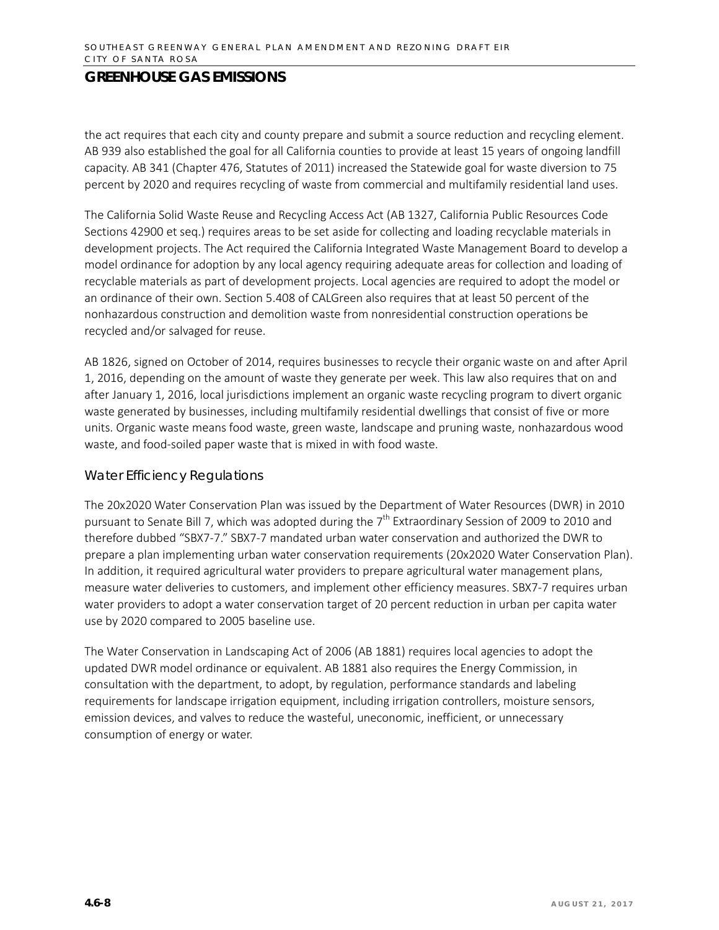the act requires that each city and county prepare and submit a source reduction and recycling element. AB 939 also established the goal for all California counties to provide at least 15 years of ongoing landfill capacity. AB 341 (Chapter 476, Statutes of 2011) increased the Statewide goal for waste diversion to 75 percent by 2020 and requires recycling of waste from commercial and multifamily residential land uses.

The California Solid Waste Reuse and Recycling Access Act (AB 1327, California Public Resources Code Sections 42900 et seq.) requires areas to be set aside for collecting and loading recyclable materials in development projects. The Act required the California Integrated Waste Management Board to develop a model ordinance for adoption by any local agency requiring adequate areas for collection and loading of recyclable materials as part of development projects. Local agencies are required to adopt the model or an ordinance of their own. Section 5.408 of CALGreen also requires that at least 50 percent of the nonhazardous construction and demolition waste from nonresidential construction operations be recycled and/or salvaged for reuse.

AB 1826, signed on October of 2014, requires businesses to recycle their organic waste on and after April 1, 2016, depending on the amount of waste they generate per week. This law also requires that on and after January 1, 2016, local jurisdictions implement an organic waste recycling program to divert organic waste generated by businesses, including multifamily residential dwellings that consist of five or more units. Organic waste means food waste, green waste, landscape and pruning waste, nonhazardous wood waste, and food-soiled paper waste that is mixed in with food waste.

### *Water Efficiency Regulations*

The 20x2020 Water Conservation Plan was issued by the Department of Water Resources (DWR) in 2010 pursuant to Senate Bill 7, which was adopted during the  $7<sup>th</sup>$  Extraordinary Session of 2009 to 2010 and therefore dubbed "SBX7-7." SBX7-7 mandated urban water conservation and authorized the DWR to prepare a plan implementing urban water conservation requirements (20x2020 Water Conservation Plan). In addition, it required agricultural water providers to prepare agricultural water management plans, measure water deliveries to customers, and implement other efficiency measures. SBX7-7 requires urban water providers to adopt a water conservation target of 20 percent reduction in urban per capita water use by 2020 compared to 2005 baseline use.

The Water Conservation in Landscaping Act of 2006 (AB 1881) requires local agencies to adopt the updated DWR model ordinance or equivalent. AB 1881 also requires the Energy Commission, in consultation with the department, to adopt, by regulation, performance standards and labeling requirements for landscape irrigation equipment, including irrigation controllers, moisture sensors, emission devices, and valves to reduce the wasteful, uneconomic, inefficient, or unnecessary consumption of energy or water.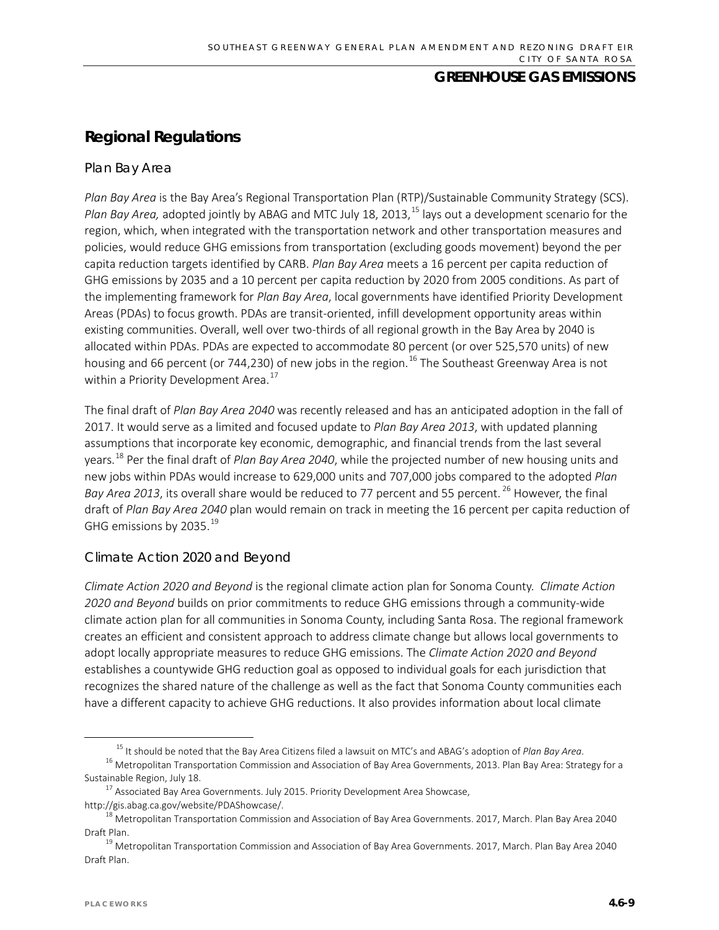# **Regional Regulations**

#### *Plan Bay Area*

*Plan Bay Area* is the Bay Area's Regional Transportation Plan (RTP)/Sustainable Community Strategy (SCS). *Plan Bay Area,* adopted jointly by ABAG and MTC July 18, 2013, <sup>[15](#page-8-0)</sup> lays out a development scenario for the region, which, when integrated with the transportation network and other transportation measures and policies, would reduce GHG emissions from transportation (excluding goods movement) beyond the per capita reduction targets identified by CARB. *Plan Bay Area* meets a 16 percent per capita reduction of GHG emissions by 2035 and a 10 percent per capita reduction by 2020 from 2005 conditions. As part of the implementing framework for *Plan Bay Area*, local governments have identified Priority Development Areas (PDAs) to focus growth. PDAs are transit-oriented, infill development opportunity areas within existing communities. Overall, well over two-thirds of all regional growth in the Bay Area by 2040 is allocated within PDAs. PDAs are expected to accommodate 80 percent (or over 525,570 units) of new housing and 66 percent (or 744,230) of new jobs in the region.<sup>[16](#page-8-1)</sup> The Southeast Greenway Area is not within a Priority Development Area. $^{17}$  $^{17}$  $^{17}$ 

The final draft of *Plan Bay Area 2040* was recently released and has an anticipated adoption in the fall of 2017. It would serve as a limited and focused update to *Plan Bay Area 2013*, with updated planning assumptions that incorporate key economic, demographic, and financial trends from the last several years.[18](#page-8-3) Per the final draft of *Plan Bay Area 2040*, while the projected number of new housing units and new jobs within PDAs would increase to 629,000 units and 707,000 jobs compared to the adopted *Plan Bay Area 2013*, its overall share would be reduced to 77 percent and 55 percent. <sup>26</sup> However, the final draft of *Plan Bay Area 2040* plan would remain on track in meeting the 16 percent per capita reduction of GHG emissions by 2035.<sup>[19](#page-8-4)</sup>

### *Climate Action 2020 and Beyond*

*Climate Action 2020 and Beyond* is the regional climate action plan for Sonoma County. *Climate Action 2020 and Beyond* builds on prior commitments to reduce GHG emissions through a community-wide climate action plan for all communities in Sonoma County, including Santa Rosa. The regional framework creates an efficient and consistent approach to address climate change but allows local governments to adopt locally appropriate measures to reduce GHG emissions. The *Climate Action 2020 and Beyond* establishes a countywide GHG reduction goal as opposed to individual goals for each jurisdiction that recognizes the shared nature of the challenge as well as the fact that Sonoma County communities each have a different capacity to achieve GHG reductions. It also provides information about local climate

 <sup>15</sup> It should be noted that the Bay Area Citizens filed a lawsuit on MTC's and ABAG's adoption of *Plan Bay Area*.

<span id="page-8-1"></span><span id="page-8-0"></span><sup>&</sup>lt;sup>16</sup> Metropolitan Transportation Commission and Association of Bay Area Governments, 2013. Plan Bay Area: Strategy for a Sustainable Region, July 18.

<span id="page-8-2"></span> $17$  Associated Bay Area Governments. July 2015. Priority Development Area Showcase, http://gis.abag.ca.gov/website/PDAShowcase/.

<span id="page-8-3"></span><sup>&</sup>lt;sup>18</sup> Metropolitan Transportation Commission and Association of Bay Area Governments. 2017, March. Plan Bay Area 2040 Draft Plan.

<span id="page-8-4"></span><sup>&</sup>lt;sup>19</sup> Metropolitan Transportation Commission and Association of Bay Area Governments. 2017, March. Plan Bay Area 2040 Draft Plan.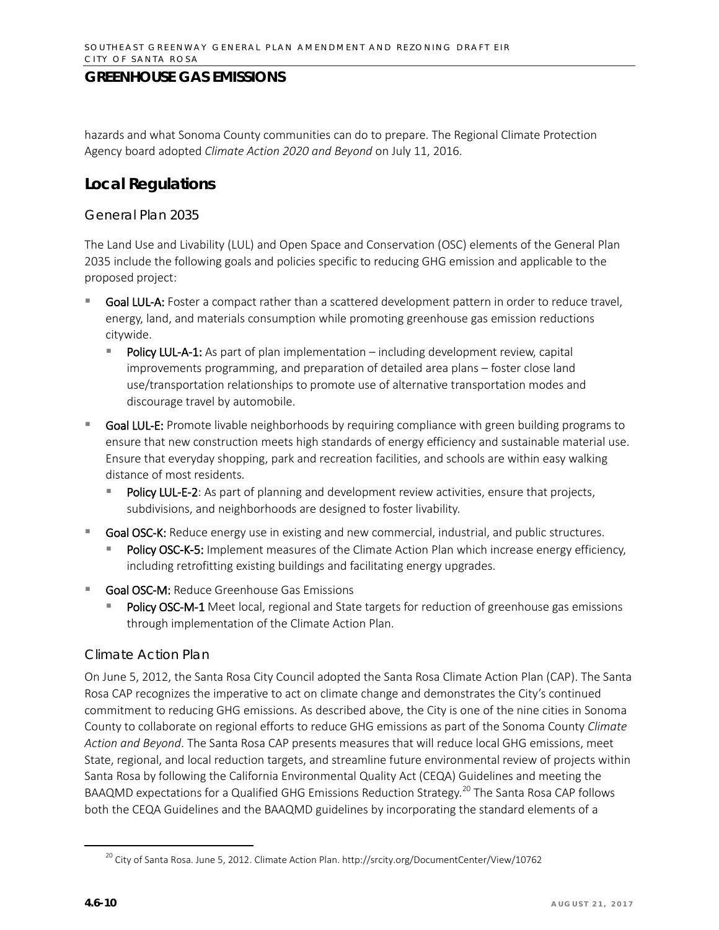hazards and what Sonoma County communities can do to prepare. The Regional Climate Protection Agency board adopted *Climate Action 2020 and Beyond* on July 11, 2016.

# **Local Regulations**

#### *General Plan 2035*

The Land Use and Livability (LUL) and Open Space and Conservation (OSC) elements of the General Plan 2035 include the following goals and policies specific to reducing GHG emission and applicable to the proposed project:

- Goal LUL-A: Foster a compact rather than a scattered development pattern in order to reduce travel, energy, land, and materials consumption while promoting greenhouse gas emission reductions citywide.
	- Policy LUL-A-1: As part of plan implementation including development review, capital improvements programming, and preparation of detailed area plans – foster close land use/transportation relationships to promote use of alternative transportation modes and discourage travel by automobile.
- Goal LUL-E: Promote livable neighborhoods by requiring compliance with green building programs to ensure that new construction meets high standards of energy efficiency and sustainable material use. Ensure that everyday shopping, park and recreation facilities, and schools are within easy walking distance of most residents.
	- Policy LUL-E-2: As part of planning and development review activities, ensure that projects, subdivisions, and neighborhoods are designed to foster livability.
- Goal OSC-K: Reduce energy use in existing and new commercial, industrial, and public structures.
	- Policy OSC-K-5: Implement measures of the Climate Action Plan which increase energy efficiency, including retrofitting existing buildings and facilitating energy upgrades.
- Goal OSC-M: Reduce Greenhouse Gas Emissions
	- Policy OSC-M-1 Meet local, regional and State targets for reduction of greenhouse gas emissions through implementation of the Climate Action Plan.

#### *Climate Action Plan*

On June 5, 2012, the Santa Rosa City Council adopted the Santa Rosa Climate Action Plan (CAP). The Santa Rosa CAP recognizes the imperative to act on climate change and demonstrates the City's continued commitment to reducing GHG emissions. As described above, the City is one of the nine cities in Sonoma County to collaborate on regional efforts to reduce GHG emissions as part of the Sonoma County *Climate Action and Beyond*. The Santa Rosa CAP presents measures that will reduce local GHG emissions, meet State, regional, and local reduction targets, and streamline future environmental review of projects within Santa Rosa by following the California Environmental Quality Act (CEQA) Guidelines and meeting the BAAQMD expectations for a Qualified GHG Emissions Reduction Strategy.<sup>[20](#page-9-0)</sup> The Santa Rosa CAP follows both the CEQA Guidelines and the BAAQMD guidelines by incorporating the standard elements of a

<span id="page-9-0"></span><sup>&</sup>lt;sup>20</sup> City of Santa Rosa. June 5, 2012. Climate Action Plan. http://srcity.org/DocumentCenter/View/10762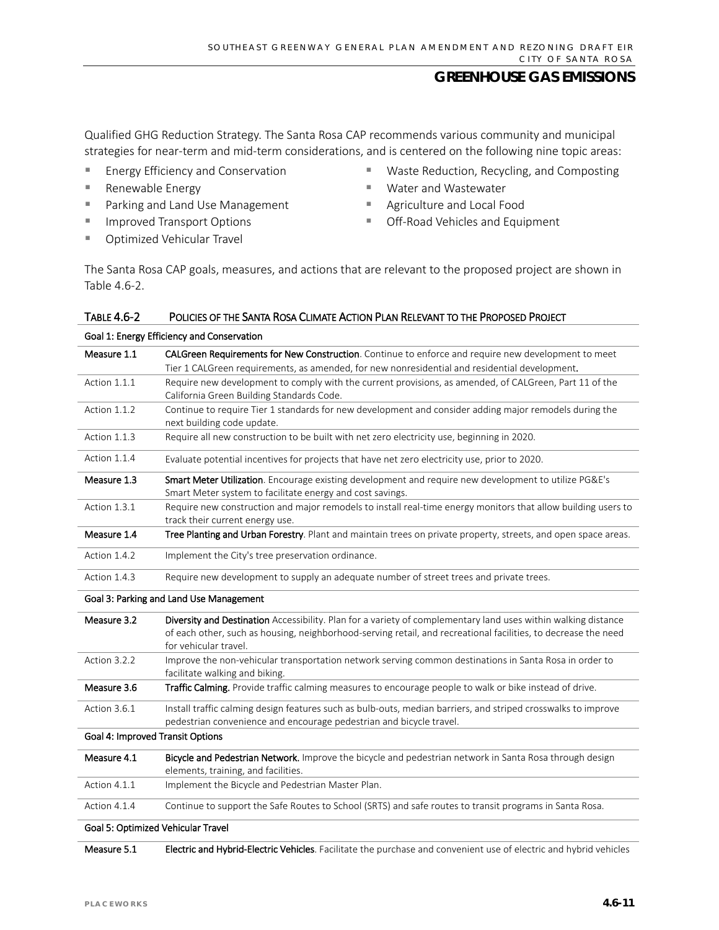Qualified GHG Reduction Strategy. The Santa Rosa CAP recommends various community and municipal strategies for near-term and mid-term considerations, and is centered on the following nine topic areas:

- **Energy Efficiency and Conservation**
- **Renewable Energy**
- Parking and Land Use Management
- **Improved Transport Options**
- **DEDIMIZED Vehicular Travel**
- Waste Reduction, Recycling, and Composting
- Water and Wastewater
- Agriculture and Local Food
- **F** Off-Road Vehicles and Equipment

The Santa Rosa CAP goals, measures, and actions that are relevant to the proposed project are shown in Table 4.6-2.

|              | Goal 1: Energy Efficiency and Conservation                                                                                                                         |
|--------------|--------------------------------------------------------------------------------------------------------------------------------------------------------------------|
| Measure 1.1  | CALGreen Requirements for New Construction. Continue to enforce and require new development to meet                                                                |
|              | Tier 1 CALGreen requirements, as amended, for new nonresidential and residential development.                                                                      |
| Action 1.1.1 | Require new development to comply with the current provisions, as amended, of CALGreen, Part 11 of the                                                             |
|              | California Green Building Standards Code.                                                                                                                          |
| Action 1.1.2 | Continue to require Tier 1 standards for new development and consider adding major remodels during the                                                             |
|              | next building code update.                                                                                                                                         |
| Action 1.1.3 | Require all new construction to be built with net zero electricity use, beginning in 2020.                                                                         |
| Action 1.1.4 | Evaluate potential incentives for projects that have net zero electricity use, prior to 2020.                                                                      |
| Measure 1.3  | Smart Meter Utilization. Encourage existing development and require new development to utilize PG&E's<br>Smart Meter system to facilitate energy and cost savings. |
| Action 1.3.1 | Require new construction and major remodels to install real-time energy monitors that allow building users to                                                      |
|              | track their current energy use.                                                                                                                                    |
| Measure 1.4  | Tree Planting and Urban Forestry. Plant and maintain trees on private property, streets, and open space areas.                                                     |
| Action 1.4.2 | Implement the City's tree preservation ordinance.                                                                                                                  |
| Action 1.4.3 | Require new development to supply an adequate number of street trees and private trees.                                                                            |
|              | Goal 3: Parking and Land Use Management                                                                                                                            |
| Measure 3.2  | Diversity and Destination Accessibility. Plan for a variety of complementary land uses within walking distance                                                     |
|              | of each other, such as housing, neighborhood-serving retail, and recreational facilities, to decrease the need                                                     |
|              | for vehicular travel.                                                                                                                                              |
| Action 3.2.2 | Improve the non-vehicular transportation network serving common destinations in Santa Rosa in order to                                                             |
|              | facilitate walking and biking.                                                                                                                                     |
| Measure 3.6  | Traffic Calming. Provide traffic calming measures to encourage people to walk or bike instead of drive.                                                            |
| Action 3.6.1 | Install traffic calming design features such as bulb-outs, median barriers, and striped crosswalks to improve                                                      |
|              | pedestrian convenience and encourage pedestrian and bicycle travel.                                                                                                |
|              | <b>Goal 4: Improved Transit Options</b>                                                                                                                            |
| Measure 4.1  | Bicycle and Pedestrian Network. Improve the bicycle and pedestrian network in Santa Rosa through design                                                            |
|              | elements, training, and facilities.                                                                                                                                |
| Action 4.1.1 | Implement the Bicycle and Pedestrian Master Plan.                                                                                                                  |
| Action 4.1.4 | Continue to support the Safe Routes to School (SRTS) and safe routes to transit programs in Santa Rosa.                                                            |
|              | <b>Goal 5: Optimized Vehicular Travel</b>                                                                                                                          |

#### TABLE 4.6-2 POLICIES OF THE SANTA ROSA CLIMATE ACTION PLAN RELEVANT TO THE PROPOSED PROJECT

Measure 5.1 Electric and Hybrid-Electric Vehicles. Facilitate the purchase and convenient use of electric and hybrid vehicles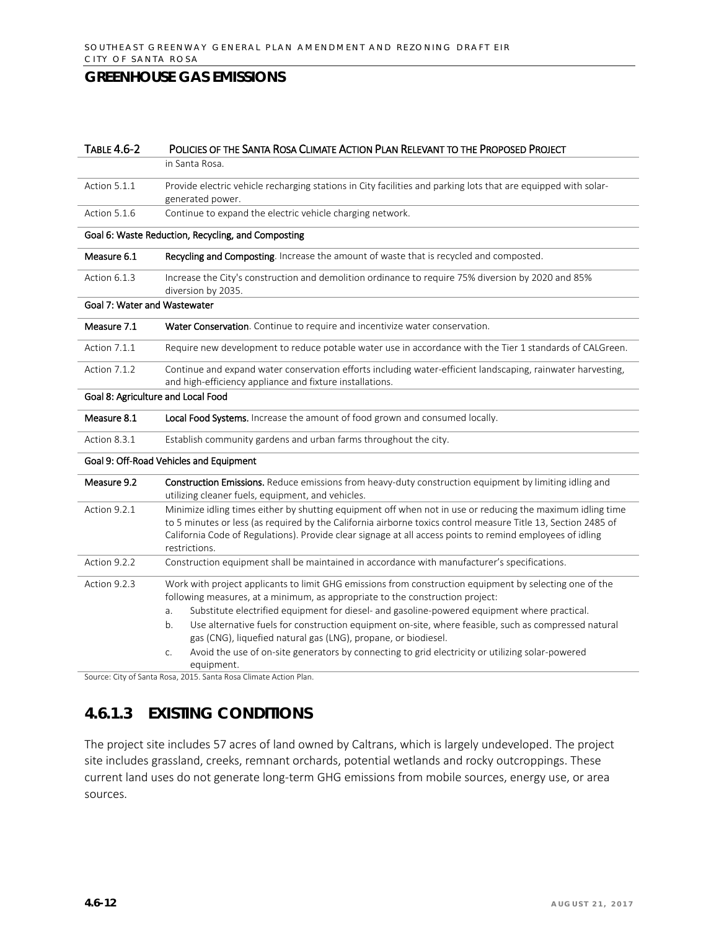| <b>TABLE 4.6-2</b>                 | POLICIES OF THE SANTA ROSA CLIMATE ACTION PLAN RELEVANT TO THE PROPOSED PROJECT                                                                                                                                                                                                                                                                                                                                                                                                                                                                                                                                 |  |
|------------------------------------|-----------------------------------------------------------------------------------------------------------------------------------------------------------------------------------------------------------------------------------------------------------------------------------------------------------------------------------------------------------------------------------------------------------------------------------------------------------------------------------------------------------------------------------------------------------------------------------------------------------------|--|
|                                    | in Santa Rosa.                                                                                                                                                                                                                                                                                                                                                                                                                                                                                                                                                                                                  |  |
| Action 5.1.1                       | Provide electric vehicle recharging stations in City facilities and parking lots that are equipped with solar-<br>generated power.                                                                                                                                                                                                                                                                                                                                                                                                                                                                              |  |
| Action 5.1.6                       | Continue to expand the electric vehicle charging network.                                                                                                                                                                                                                                                                                                                                                                                                                                                                                                                                                       |  |
|                                    | Goal 6: Waste Reduction, Recycling, and Composting                                                                                                                                                                                                                                                                                                                                                                                                                                                                                                                                                              |  |
| Measure 6.1                        | Recycling and Composting. Increase the amount of waste that is recycled and composted.                                                                                                                                                                                                                                                                                                                                                                                                                                                                                                                          |  |
| Action 6.1.3                       | Increase the City's construction and demolition ordinance to require 75% diversion by 2020 and 85%<br>diversion by 2035.                                                                                                                                                                                                                                                                                                                                                                                                                                                                                        |  |
| Goal 7: Water and Wastewater       |                                                                                                                                                                                                                                                                                                                                                                                                                                                                                                                                                                                                                 |  |
| Measure 7.1                        | Water Conservation. Continue to require and incentivize water conservation.                                                                                                                                                                                                                                                                                                                                                                                                                                                                                                                                     |  |
| Action 7.1.1                       | Require new development to reduce potable water use in accordance with the Tier 1 standards of CALGreen.                                                                                                                                                                                                                                                                                                                                                                                                                                                                                                        |  |
| Action 7.1.2                       | Continue and expand water conservation efforts including water-efficient landscaping, rainwater harvesting,<br>and high-efficiency appliance and fixture installations.                                                                                                                                                                                                                                                                                                                                                                                                                                         |  |
| Goal 8: Agriculture and Local Food |                                                                                                                                                                                                                                                                                                                                                                                                                                                                                                                                                                                                                 |  |
| Measure 8.1                        | Local Food Systems. Increase the amount of food grown and consumed locally.                                                                                                                                                                                                                                                                                                                                                                                                                                                                                                                                     |  |
| Action 8.3.1                       | Establish community gardens and urban farms throughout the city.                                                                                                                                                                                                                                                                                                                                                                                                                                                                                                                                                |  |
|                                    | Goal 9: Off-Road Vehicles and Equipment                                                                                                                                                                                                                                                                                                                                                                                                                                                                                                                                                                         |  |
| Measure 9.2                        | Construction Emissions. Reduce emissions from heavy-duty construction equipment by limiting idling and<br>utilizing cleaner fuels, equipment, and vehicles.                                                                                                                                                                                                                                                                                                                                                                                                                                                     |  |
| Action 9.2.1                       | Minimize idling times either by shutting equipment off when not in use or reducing the maximum idling time<br>to 5 minutes or less (as required by the California airborne toxics control measure Title 13, Section 2485 of<br>California Code of Regulations). Provide clear signage at all access points to remind employees of idling<br>restrictions.                                                                                                                                                                                                                                                       |  |
| Action 9.2.2                       | Construction equipment shall be maintained in accordance with manufacturer's specifications.                                                                                                                                                                                                                                                                                                                                                                                                                                                                                                                    |  |
| Action 9.2.3                       | Work with project applicants to limit GHG emissions from construction equipment by selecting one of the<br>following measures, at a minimum, as appropriate to the construction project:<br>Substitute electrified equipment for diesel- and gasoline-powered equipment where practical.<br>a.<br>Use alternative fuels for construction equipment on-site, where feasible, such as compressed natural<br>b.<br>gas (CNG), liquefied natural gas (LNG), propane, or biodiesel.<br>Avoid the use of on-site generators by connecting to grid electricity or utilizing solar-powered<br>$C_{\cdot}$<br>equipment. |  |

Source: City of Santa Rosa, 2015. Santa Rosa Climate Action Plan.

# **4.6.1.3 EXISTING CONDITIONS**

The project site includes 57 acres of land owned by Caltrans, which is largely undeveloped. The project site includes grassland, creeks, remnant orchards, potential wetlands and rocky outcroppings. These current land uses do not generate long-term GHG emissions from mobile sources, energy use, or area sources.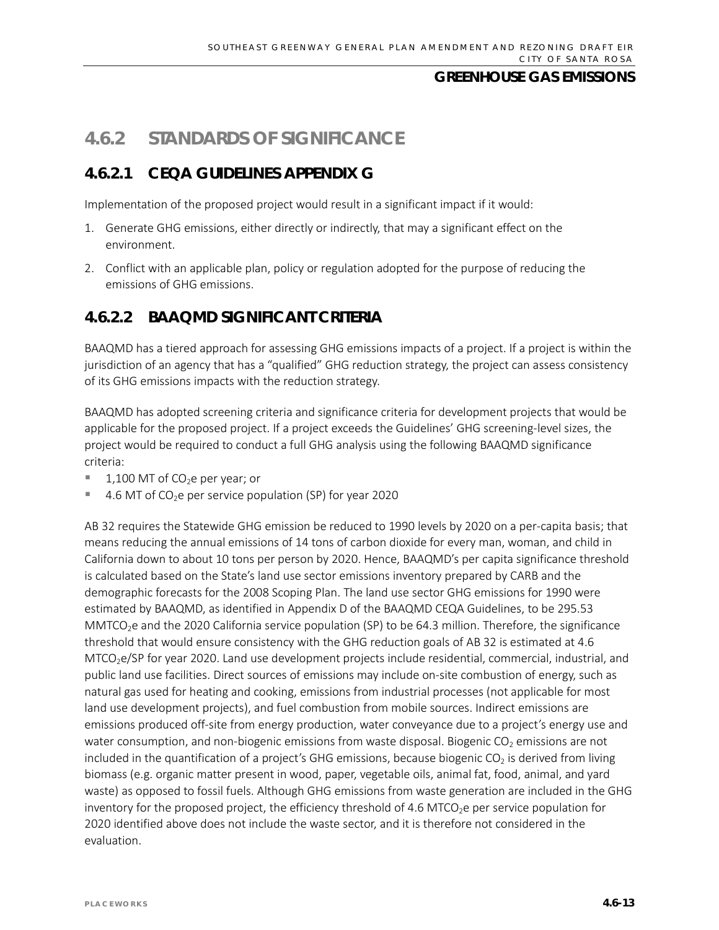# **4.6.2 STANDARDS OF SIGNIFICANCE**

# **4.6.2.1 CEQA GUIDELINES APPENDIX G**

Implementation of the proposed project would result in a significant impact if it would:

- 1. Generate GHG emissions, either directly or indirectly, that may a significant effect on the environment.
- 2. Conflict with an applicable plan, policy or regulation adopted for the purpose of reducing the emissions of GHG emissions.

# **4.6.2.2 BAAQMD SIGNIFICANT CRITERIA**

BAAQMD has a tiered approach for assessing GHG emissions impacts of a project. If a project is within the jurisdiction of an agency that has a "qualified" GHG reduction strategy, the project can assess consistency of its GHG emissions impacts with the reduction strategy.

BAAQMD has adopted screening criteria and significance criteria for development projects that would be applicable for the proposed project. If a project exceeds the Guidelines' GHG screening-level sizes, the project would be required to conduct a full GHG analysis using the following BAAQMD significance criteria:

- $\blacksquare$  1,100 MT of CO<sub>2</sub>e per year; or
- $\blacksquare$  4.6 MT of CO<sub>2</sub>e per service population (SP) for year 2020

AB 32 requires the Statewide GHG emission be reduced to 1990 levels by 2020 on a per-capita basis; that means reducing the annual emissions of 14 tons of carbon dioxide for every man, woman, and child in California down to about 10 tons per person by 2020. Hence, BAAQMD's per capita significance threshold is calculated based on the State's land use sector emissions inventory prepared by CARB and the demographic forecasts for the 2008 Scoping Plan. The land use sector GHG emissions for 1990 were estimated by BAAQMD, as identified in Appendix D of the BAAQMD CEQA Guidelines, to be 295.53 MMTCO<sub>2</sub>e and the 2020 California service population (SP) to be 64.3 million. Therefore, the significance threshold that would ensure consistency with the GHG reduction goals of AB 32 is estimated at 4.6 MTCO<sub>2</sub>e/SP for year 2020. Land use development projects include residential, commercial, industrial, and public land use facilities. Direct sources of emissions may include on-site combustion of energy, such as natural gas used for heating and cooking, emissions from industrial processes (not applicable for most land use development projects), and fuel combustion from mobile sources. Indirect emissions are emissions produced off-site from energy production, water conveyance due to a project's energy use and water consumption, and non-biogenic emissions from waste disposal. Biogenic  $CO<sub>2</sub>$  emissions are not included in the quantification of a project's GHG emissions, because biogenic  $CO<sub>2</sub>$  is derived from living biomass (e.g. organic matter present in wood, paper, vegetable oils, animal fat, food, animal, and yard waste) as opposed to fossil fuels. Although GHG emissions from waste generation are included in the GHG inventory for the proposed project, the efficiency threshold of 4.6 MTCO<sub>2</sub>e per service population for 2020 identified above does not include the waste sector, and it is therefore not considered in the evaluation.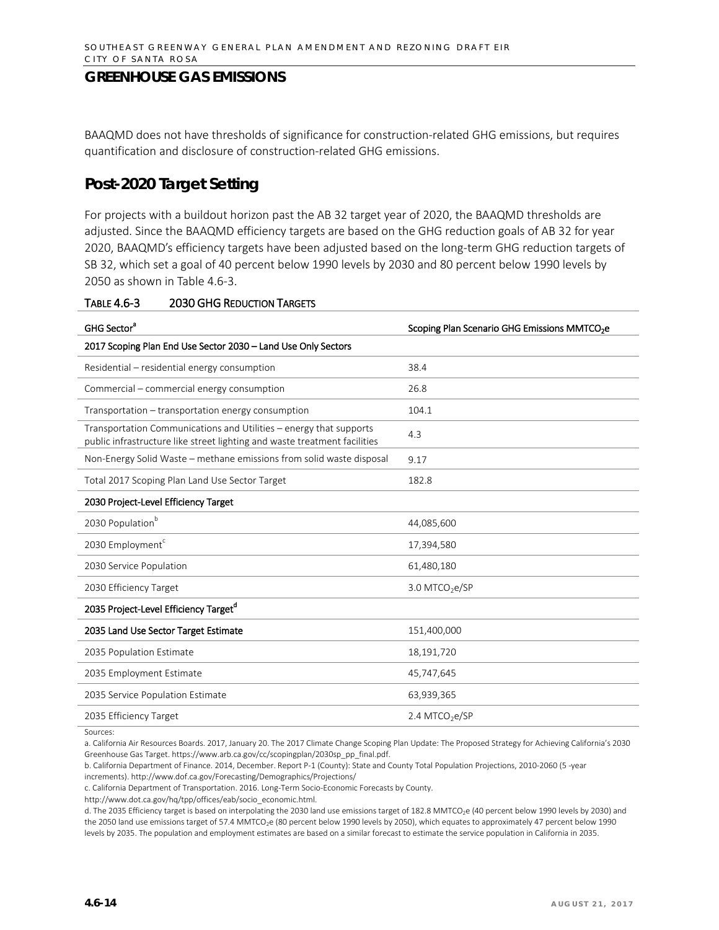BAAQMD does not have thresholds of significance for construction-related GHG emissions, but requires quantification and disclosure of construction-related GHG emissions.

# **Post-2020 Target Setting**

For projects with a buildout horizon past the AB 32 target year of 2020, the BAAQMD thresholds are adjusted. Since the BAAQMD efficiency targets are based on the GHG reduction goals of AB 32 for year 2020, BAAQMD's efficiency targets have been adjusted based on the long-term GHG reduction targets of SB 32, which set a goal of 40 percent below 1990 levels by 2030 and 80 percent below 1990 levels by 2050 as shown in Table 4.6-3.

| GHG Sector <sup>a</sup>                                                                                                                         | Scoping Plan Scenario GHG Emissions MMTCO <sub>2</sub> e |
|-------------------------------------------------------------------------------------------------------------------------------------------------|----------------------------------------------------------|
| 2017 Scoping Plan End Use Sector 2030 - Land Use Only Sectors                                                                                   |                                                          |
| Residential - residential energy consumption                                                                                                    | 38.4                                                     |
| Commercial - commercial energy consumption                                                                                                      | 26.8                                                     |
| Transportation - transportation energy consumption                                                                                              | 104.1                                                    |
| Transportation Communications and Utilities – energy that supports<br>public infrastructure like street lighting and waste treatment facilities | 4.3                                                      |
| Non-Energy Solid Waste - methane emissions from solid waste disposal                                                                            | 9.17                                                     |
| Total 2017 Scoping Plan Land Use Sector Target                                                                                                  | 182.8                                                    |
| 2030 Project-Level Efficiency Target                                                                                                            |                                                          |
| 2030 Population <sup>b</sup>                                                                                                                    | 44,085,600                                               |
| 2030 Employment <sup>c</sup>                                                                                                                    | 17,394,580                                               |
| 2030 Service Population                                                                                                                         | 61,480,180                                               |
| 2030 Efficiency Target                                                                                                                          | 3.0 MTCO <sub>2</sub> e/SP                               |
| 2035 Project-Level Efficiency Target <sup>d</sup>                                                                                               |                                                          |
| 2035 Land Use Sector Target Estimate                                                                                                            | 151,400,000                                              |
| 2035 Population Estimate                                                                                                                        | 18,191,720                                               |
| 2035 Employment Estimate                                                                                                                        | 45,747,645                                               |
| 2035 Service Population Estimate                                                                                                                | 63,939,365                                               |
| 2035 Efficiency Target                                                                                                                          | 2.4 MTCO <sub>2</sub> e/SP                               |

#### TABLE 4.6-3 2030 GHG REDUCTION TARGETS

Sources:

a. California Air Resources Boards. 2017, January 20. The 2017 Climate Change Scoping Plan Update: The Proposed Strategy for Achieving California's 2030 Greenhouse Gas Target. https://www.arb.ca.gov/cc/scopingplan/2030sp\_pp\_final.pdf.

b. California Department of Finance. 2014, December. Report P-1 (County): State and County Total Population Projections, 2010-2060 (5 -year increments). http://www.dof.ca.gov/Forecasting/Demographics/Projections/

c. California Department of Transportation. 2016. Long-Term Socio-Economic Forecasts by County.

http://www.dot.ca.gov/hq/tpp/offices/eab/socio\_economic.html.

d. The 2035 Efficiency target is based on interpolating the 2030 land use emissions target of 182.8 MMTCO<sub>2</sub>e (40 percent below 1990 levels by 2030) and the 2050 land use emissions target of 57.4 MMTCO<sub>2</sub>e (80 percent below 1990 levels by 2050), which equates to approximately 47 percent below 1990 levels by 2035. The population and employment estimates are based on a similar forecast to estimate the service population in California in 2035.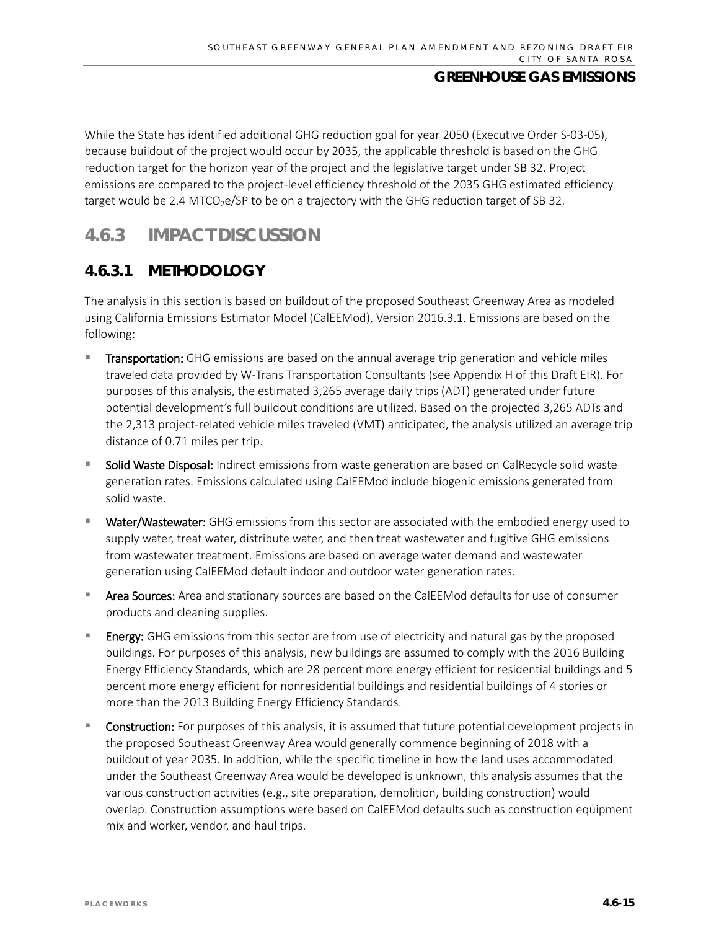While the State has identified additional GHG reduction goal for year 2050 (Executive Order S-03-05), because buildout of the project would occur by 2035, the applicable threshold is based on the GHG reduction target for the horizon year of the project and the legislative target under SB 32. Project emissions are compared to the project-level efficiency threshold of the 2035 GHG estimated efficiency target would be 2.4 MTCO<sub>2</sub>e/SP to be on a trajectory with the GHG reduction target of SB 32.

# **4.6.3 IMPACT DISCUSSION**

# **4.6.3.1 METHODOLOGY**

The analysis in this section is based on buildout of the proposed Southeast Greenway Area as modeled using California Emissions Estimator Model (CalEEMod), Version 2016.3.1. Emissions are based on the following:

- Transportation: GHG emissions are based on the annual average trip generation and vehicle miles traveled data provided by W-Trans Transportation Consultants (see Appendix H of this Draft EIR). For purposes of this analysis, the estimated 3,265 average daily trips (ADT) generated under future potential development's full buildout conditions are utilized. Based on the projected 3,265 ADTs and the 2,313 project-related vehicle miles traveled (VMT) anticipated, the analysis utilized an average trip distance of 0.71 miles per trip.
- Solid Waste Disposal: Indirect emissions from waste generation are based on CalRecycle solid waste generation rates. Emissions calculated using CalEEMod include biogenic emissions generated from solid waste.
- Water/Wastewater: GHG emissions from this sector are associated with the embodied energy used to supply water, treat water, distribute water, and then treat wastewater and fugitive GHG emissions from wastewater treatment. Emissions are based on average water demand and wastewater generation using CalEEMod default indoor and outdoor water generation rates.
- Area Sources: Area and stationary sources are based on the CalEEMod defaults for use of consumer products and cleaning supplies.
- Energy: GHG emissions from this sector are from use of electricity and natural gas by the proposed buildings. For purposes of this analysis, new buildings are assumed to comply with the 2016 Building Energy Efficiency Standards, which are 28 percent more energy efficient for residential buildings and 5 percent more energy efficient for nonresidential buildings and residential buildings of 4 stories or more than the 2013 Building Energy Efficiency Standards.
- Construction: For purposes of this analysis, it is assumed that future potential development projects in the proposed Southeast Greenway Area would generally commence beginning of 2018 with a buildout of year 2035. In addition, while the specific timeline in how the land uses accommodated under the Southeast Greenway Area would be developed is unknown, this analysis assumes that the various construction activities (e.g., site preparation, demolition, building construction) would overlap. Construction assumptions were based on CalEEMod defaults such as construction equipment mix and worker, vendor, and haul trips.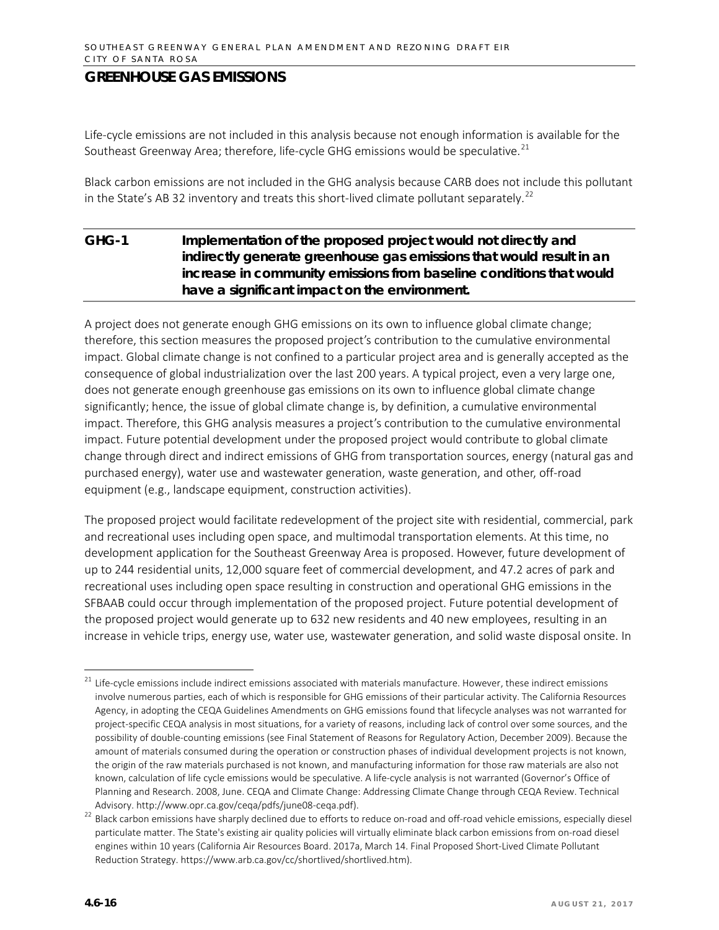Life-cycle emissions are not included in this analysis because not enough information is available for the Southeast Greenway Area; therefore, life-cycle GHG emissions would be speculative.<sup>[21](#page-15-0)</sup>

Black carbon emissions are not included in the GHG analysis because CARB does not include this pollutant in the State's AB 32 inventory and treats this short-lived climate pollutant separately.<sup>[22](#page-15-1)</sup>

# **GHG-1 Implementation of the proposed project would not directly and indirectly generate greenhouse gas emissions that would result in an increase in community emissions from baseline conditions that would have a significant impact on the environment.**

A project does not generate enough GHG emissions on its own to influence global climate change; therefore, this section measures the proposed project's contribution to the cumulative environmental impact. Global climate change is not confined to a particular project area and is generally accepted as the consequence of global industrialization over the last 200 years. A typical project, even a very large one, does not generate enough greenhouse gas emissions on its own to influence global climate change significantly; hence, the issue of global climate change is, by definition, a cumulative environmental impact. Therefore, this GHG analysis measures a project's contribution to the cumulative environmental impact. Future potential development under the proposed project would contribute to global climate change through direct and indirect emissions of GHG from transportation sources, energy (natural gas and purchased energy), water use and wastewater generation, waste generation, and other, off-road equipment (e.g., landscape equipment, construction activities).

The proposed project would facilitate redevelopment of the project site with residential, commercial, park and recreational uses including open space, and multimodal transportation elements. At this time, no development application for the Southeast Greenway Area is proposed. However, future development of up to 244 residential units, 12,000 square feet of commercial development, and 47.2 acres of park and recreational uses including open space resulting in construction and operational GHG emissions in the SFBAAB could occur through implementation of the proposed project. Future potential development of the proposed project would generate up to 632 new residents and 40 new employees, resulting in an increase in vehicle trips, energy use, water use, wastewater generation, and solid waste disposal onsite. In

<span id="page-15-0"></span><sup>&</sup>lt;sup>21</sup> Life-cycle emissions include indirect emissions associated with materials manufacture. However, these indirect emissions involve numerous parties, each of which is responsible for GHG emissions of their particular activity. The California Resources Agency, in adopting the CEQA Guidelines Amendments on GHG emissions found that lifecycle analyses was not warranted for project-specific CEQA analysis in most situations, for a variety of reasons, including lack of control over some sources, and the possibility of double-counting emissions (see Final Statement of Reasons for Regulatory Action, December 2009). Because the amount of materials consumed during the operation or construction phases of individual development projects is not known, the origin of the raw materials purchased is not known, and manufacturing information for those raw materials are also not known, calculation of life cycle emissions would be speculative. A life-cycle analysis is not warranted (Governor's Office of Planning and Research. 2008, June. CEQA and Climate Change: Addressing Climate Change through CEQA Review. Technical Advisory. http://www.opr.ca.gov/ceqa/pdfs/june08-ceqa.pdf).

<span id="page-15-1"></span><sup>&</sup>lt;sup>22</sup> Black carbon emissions have sharply declined due to efforts to reduce on-road and off-road vehicle emissions, especially diesel particulate matter. The State's existing air quality policies will virtually eliminate black carbon emissions from on-road diesel engines within 10 years (California Air Resources Board. 2017a, March 14. Final Proposed Short-Lived Climate Pollutant Reduction Strategy. https://www.arb.ca.gov/cc/shortlived/shortlived.htm).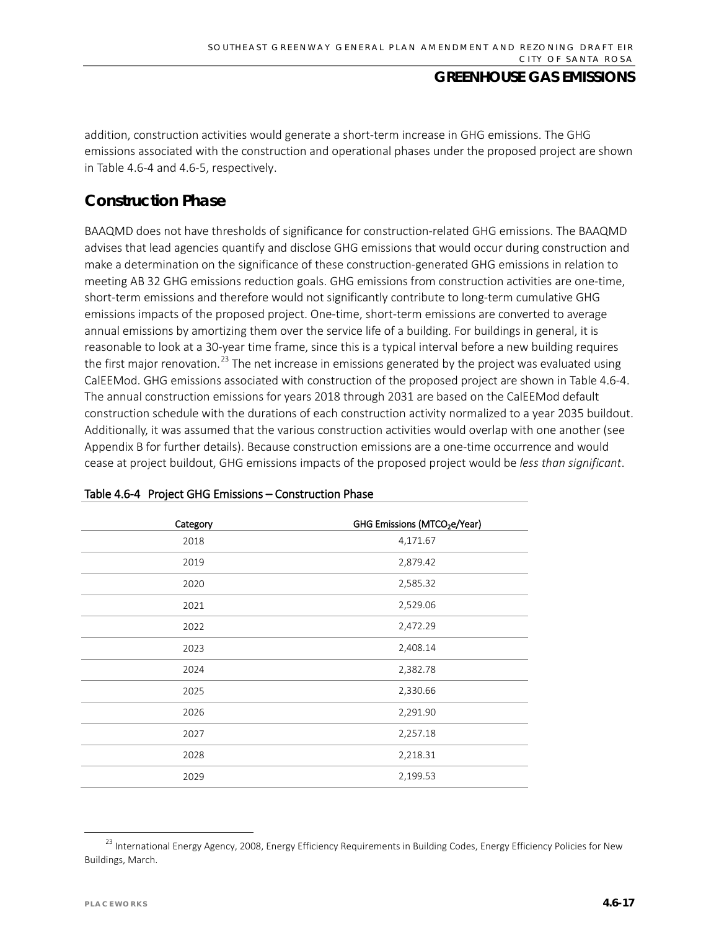addition, construction activities would generate a short-term increase in GHG emissions. The GHG emissions associated with the construction and operational phases under the proposed project are shown in Table 4.6-4 and 4.6-5, respectively.

# **Construction Phase**

BAAQMD does not have thresholds of significance for construction-related GHG emissions. The BAAQMD advises that lead agencies quantify and disclose GHG emissions that would occur during construction and make a determination on the significance of these construction-generated GHG emissions in relation to meeting AB 32 GHG emissions reduction goals. GHG emissions from construction activities are one-time, short-term emissions and therefore would not significantly contribute to long-term cumulative GHG emissions impacts of the proposed project. One-time, short-term emissions are converted to average annual emissions by amortizing them over the service life of a building. For buildings in general, it is reasonable to look at a 30-year time frame, since this is a typical interval before a new building requires the first major renovation.<sup>[23](#page-16-0)</sup> The net increase in emissions generated by the project was evaluated using CalEEMod. GHG emissions associated with construction of the proposed project are shown in Table 4.6-4. The annual construction emissions for years 2018 through 2031 are based on the CalEEMod default construction schedule with the durations of each construction activity normalized to a year 2035 buildout. Additionally, it was assumed that the various construction activities would overlap with one another (see Appendix B for further details). Because construction emissions are a one-time occurrence and would cease at project buildout, GHG emissions impacts of the proposed project would be *less than significant*.

| Category | GHG Emissions (MTCO <sub>2</sub> e/Year) |
|----------|------------------------------------------|
| 2018     | 4,171.67                                 |
| 2019     | 2,879.42                                 |
| 2020     | 2,585.32                                 |
| 2021     | 2,529.06                                 |
| 2022     | 2,472.29                                 |
| 2023     | 2,408.14                                 |
| 2024     | 2,382.78                                 |
| 2025     | 2,330.66                                 |
| 2026     | 2,291.90                                 |
| 2027     | 2,257.18                                 |
| 2028     | 2,218.31                                 |
| 2029     | 2,199.53                                 |

#### Table 4.6-4 Project GHG Emissions – Construction Phase

<span id="page-16-0"></span><sup>&</sup>lt;sup>23</sup> International Energy Agency, 2008, Energy Efficiency Requirements in Building Codes, Energy Efficiency Policies for New Buildings, March.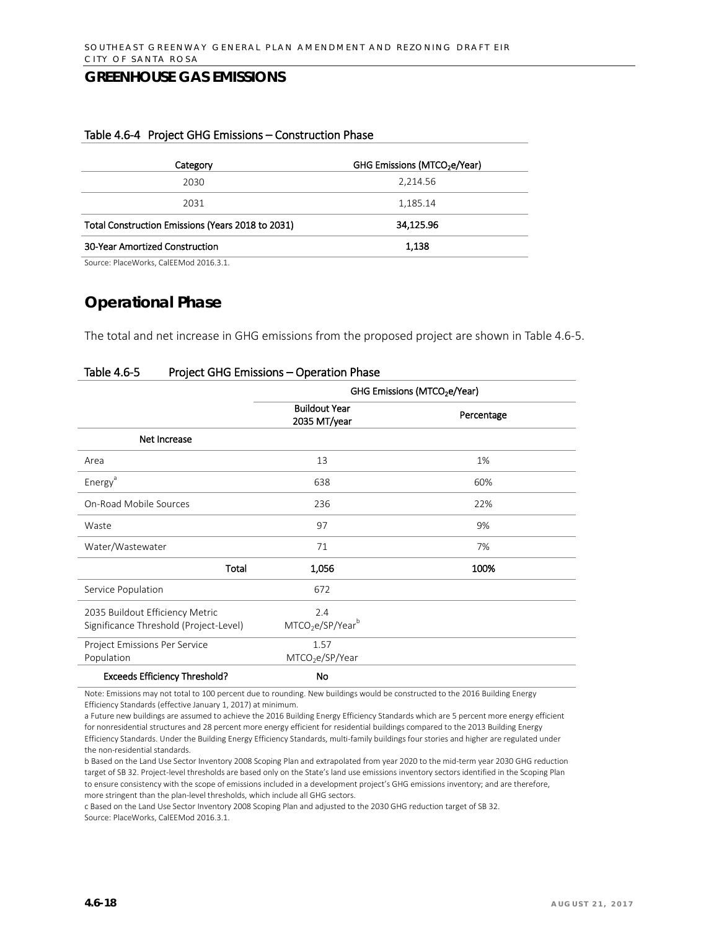#### Table 4.6-4 Project GHG Emissions – Construction Phase

| Category                                          | GHG Emissions (MTCO <sub>2</sub> e/Year) |
|---------------------------------------------------|------------------------------------------|
| 2030                                              | 2,214.56                                 |
| 2031                                              | 1,185.14                                 |
| Total Construction Emissions (Years 2018 to 2031) | 34,125.96                                |
| 30-Year Amortized Construction                    | 1,138                                    |

Source: PlaceWorks, CalEEMod 2016.3.1.

# **Operational Phase**

The total and net increase in GHG emissions from the proposed project are shown in Table 4.6-5.

|                                                                           | GHG Emissions (MTCO <sub>2</sub> e/Year)        |            |
|---------------------------------------------------------------------------|-------------------------------------------------|------------|
|                                                                           | <b>Buildout Year</b><br>2035 MT/year            | Percentage |
| Net Increase                                                              |                                                 |            |
| Area                                                                      | 13                                              | 1%         |
| Energy <sup>a</sup>                                                       | 638                                             | 60%        |
| On-Road Mobile Sources                                                    | 236                                             | 22%        |
| Waste                                                                     | 97                                              | 9%         |
| Water/Wastewater                                                          | 71                                              | 7%         |
| Total                                                                     | 1,056                                           | 100%       |
| Service Population                                                        | 672                                             |            |
| 2035 Buildout Efficiency Metric<br>Significance Threshold (Project-Level) | 2.4<br>MTCO <sub>2</sub> e/SP/Year <sup>b</sup> |            |
| Project Emissions Per Service                                             | 1.57                                            |            |
| Population                                                                | MTCO <sub>2</sub> e/SP/Year                     |            |
| <b>Exceeds Efficiency Threshold?</b>                                      | <b>No</b>                                       |            |

#### Table 4.6-5 Project GHG Emissions – Operation Phase

Note: Emissions may not total to 100 percent due to rounding. New buildings would be constructed to the 2016 Building Energy Efficiency Standards (effective January 1, 2017) at minimum.

a Future new buildings are assumed to achieve the 2016 Building Energy Efficiency Standards which are 5 percent more energy efficient for nonresidential structures and 28 percent more energy efficient for residential buildings compared to the 2013 Building Energy Efficiency Standards. Under the Building Energy Efficiency Standards, multi-family buildings four stories and higher are regulated under the non-residential standards.

b Based on the Land Use Sector Inventory 2008 Scoping Plan and extrapolated from year 2020 to the mid-term year 2030 GHG reduction target of SB 32. Project-level thresholds are based only on the State's land use emissions inventory sectors identified in the Scoping Plan to ensure consistency with the scope of emissions included in a development project's GHG emissions inventory; and are therefore, more stringent than the plan-level thresholds, which include all GHG sectors.

c Based on the Land Use Sector Inventory 2008 Scoping Plan and adjusted to the 2030 GHG reduction target of SB 32. Source: PlaceWorks, CalEEMod 2016.3.1.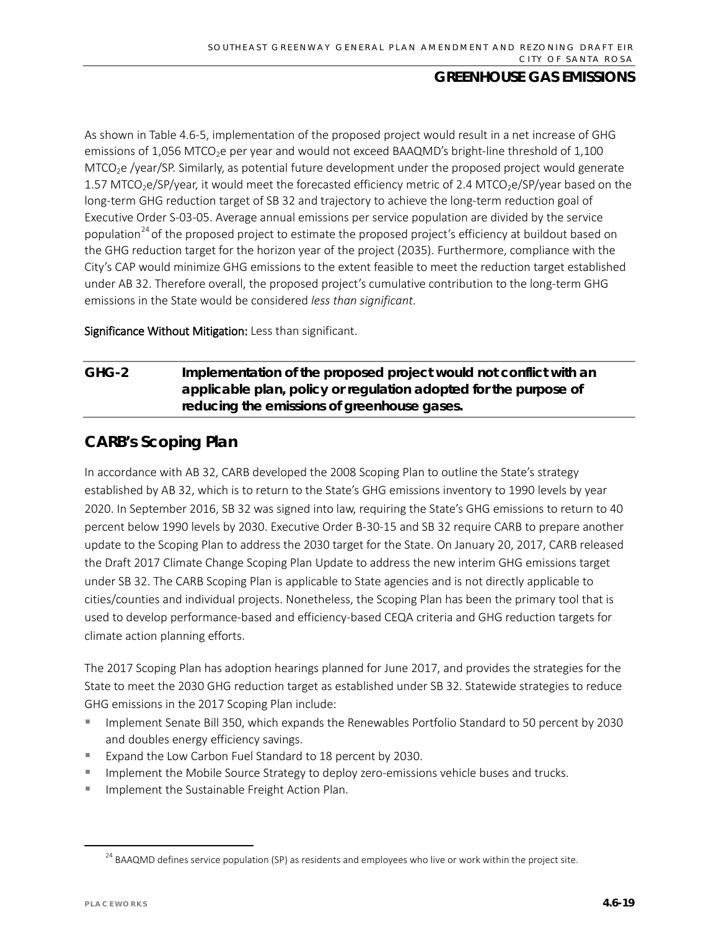As shown in Table 4.6-5, implementation of the proposed project would result in a net increase of GHG emissions of 1,056 MTCO<sub>2</sub>e per year and would not exceed BAAQMD's bright-line threshold of 1,100 MTCO<sub>2</sub>e /year/SP. Similarly, as potential future development under the proposed project would generate 1.57 MTCO<sub>2</sub>e/SP/year, it would meet the forecasted efficiency metric of 2.4 MTCO<sub>2</sub>e/SP/year based on the long-term GHG reduction target of SB 32 and trajectory to achieve the long-term reduction goal of Executive Order S-03-05. Average annual emissions per service population are divided by the service population<sup>[24](#page-18-0)</sup> of the proposed project to estimate the proposed project's efficiency at buildout based on the GHG reduction target for the horizon year of the project (2035). Furthermore, compliance with the City's CAP would minimize GHG emissions to the extent feasible to meet the reduction target established under AB 32. Therefore overall, the proposed project's cumulative contribution to the long-term GHG emissions in the State would be considered *less than significant*.

Significance Without Mitigation: Less than significant.

# **GHG-2 Implementation of the proposed project would not conflict with an applicable plan, policy or regulation adopted for the purpose of reducing the emissions of greenhouse gases.**

# **CARB's Scoping Plan**

In accordance with AB 32, CARB developed the 2008 Scoping Plan to outline the State's strategy established by AB 32, which is to return to the State's GHG emissions inventory to 1990 levels by year 2020. In September 2016, SB 32 was signed into law, requiring the State's GHG emissions to return to 40 percent below 1990 levels by 2030. Executive Order B-30-15 and SB 32 require CARB to prepare another update to the Scoping Plan to address the 2030 target for the State. On January 20, 2017, CARB released the Draft 2017 Climate Change Scoping Plan Update to address the new interim GHG emissions target under SB 32. The CARB Scoping Plan is applicable to State agencies and is not directly applicable to cities/counties and individual projects. Nonetheless, the Scoping Plan has been the primary tool that is used to develop performance-based and efficiency-based CEQA criteria and GHG reduction targets for climate action planning efforts.

The 2017 Scoping Plan has adoption hearings planned for June 2017, and provides the strategies for the State to meet the 2030 GHG reduction target as established under SB 32. Statewide strategies to reduce GHG emissions in the 2017 Scoping Plan include:

- Implement Senate Bill 350, which expands the Renewables Portfolio Standard to 50 percent by 2030 and doubles energy efficiency savings.
- Expand the Low Carbon Fuel Standard to 18 percent by 2030.
- Implement the Mobile Source Strategy to deploy zero-emissions vehicle buses and trucks.
- **Implement the Sustainable Freight Action Plan.**

<span id="page-18-0"></span><sup>&</sup>lt;sup>24</sup> BAAQMD defines service population (SP) as residents and employees who live or work within the project site.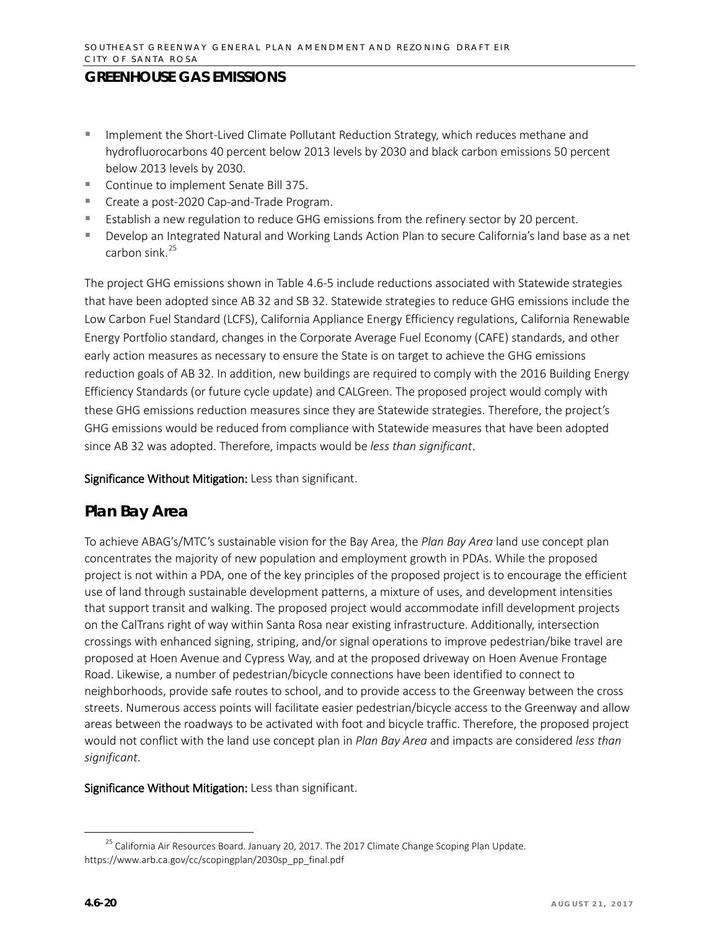- **Implement the Short-Lived Climate Pollutant Reduction Strategy, which reduces methane and** hydrofluorocarbons 40 percent below 2013 levels by 2030 and black carbon emissions 50 percent below 2013 levels by 2030.
- Continue to implement Senate Bill 375.
- Create a post-2020 Cap-and-Trade Program.
- **Establish a new regulation to reduce GHG emissions from the refinery sector by 20 percent.**
- Develop an Integrated Natural and Working Lands Action Plan to secure California's land base as a net carbon sink. $^{25}$  $^{25}$  $^{25}$

The project GHG emissions shown in Table 4.6-5 include reductions associated with Statewide strategies that have been adopted since AB 32 and SB 32. Statewide strategies to reduce GHG emissions include the Low Carbon Fuel Standard (LCFS), California Appliance Energy Efficiency regulations, California Renewable Energy Portfolio standard, changes in the Corporate Average Fuel Economy (CAFE) standards, and other early action measures as necessary to ensure the State is on target to achieve the GHG emissions reduction goals of AB 32. In addition, new buildings are required to comply with the 2016 Building Energy Efficiency Standards (or future cycle update) and CALGreen. The proposed project would comply with these GHG emissions reduction measures since they are Statewide strategies. Therefore, the project's GHG emissions would be reduced from compliance with Statewide measures that have been adopted since AB 32 was adopted. Therefore, impacts would be *less than significant*.

Significance Without Mitigation: Less than significant.

# **Plan Bay Area**

To achieve ABAG's/MTC's sustainable vision for the Bay Area, the *Plan Bay Area* land use concept plan concentrates the majority of new population and employment growth in PDAs. While the proposed project is not within a PDA, one of the key principles of the proposed project is to encourage the efficient use of land through sustainable development patterns, a mixture of uses, and development intensities that support transit and walking. The proposed project would accommodate infill development projects on the CalTrans right of way within Santa Rosa near existing infrastructure. Additionally, intersection crossings with enhanced signing, striping, and/or signal operations to improve pedestrian/bike travel are proposed at Hoen Avenue and Cypress Way, and at the proposed driveway on Hoen Avenue Frontage Road. Likewise, a number of pedestrian/bicycle connections have been identified to connect to neighborhoods, provide safe routes to school, and to provide access to the Greenway between the cross streets. Numerous access points will facilitate easier pedestrian/bicycle access to the Greenway and allow areas between the roadways to be activated with foot and bicycle traffic. Therefore, the proposed project would not conflict with the land use concept plan in *Plan Bay Area* and impacts are considered *less than significant*.

### Significance Without Mitigation: Less than significant.

<span id="page-19-0"></span> $^{25}$  California Air Resources Board. January 20, 2017. The 2017 Climate Change Scoping Plan Update. https://www.arb.ca.gov/cc/scopingplan/2030sp\_pp\_final.pdf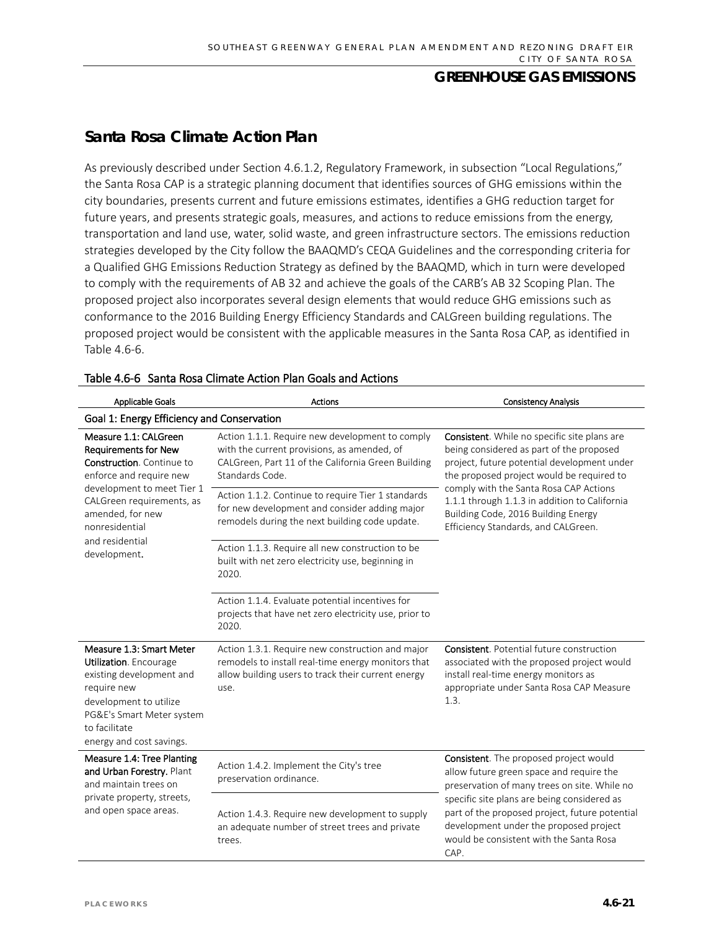# **Santa Rosa Climate Action Plan**

As previously described under Section 4.6.1.2, Regulatory Framework, in subsection "Local Regulations," the Santa Rosa CAP is a strategic planning document that identifies sources of GHG emissions within the city boundaries, presents current and future emissions estimates, identifies a GHG reduction target for future years, and presents strategic goals, measures, and actions to reduce emissions from the energy, transportation and land use, water, solid waste, and green infrastructure sectors. The emissions reduction strategies developed by the City follow the BAAQMD's CEQA Guidelines and the corresponding criteria for a Qualified GHG Emissions Reduction Strategy as defined by the BAAQMD, which in turn were developed to comply with the requirements of AB 32 and achieve the goals of the CARB's AB 32 Scoping Plan. The proposed project also incorporates several design elements that would reduce GHG emissions such as conformance to the 2016 Building Energy Efficiency Standards and CALGreen building regulations. The proposed project would be consistent with the applicable measures in the Santa Rosa CAP, as identified in Table 4.6-6.

| <b>Applicable Goals</b>                                                                                                                                                                                                                          | Actions                                                                                                                                                                 | <b>Consistency Analysis</b>                                                                                                                                                                 |  |  |
|--------------------------------------------------------------------------------------------------------------------------------------------------------------------------------------------------------------------------------------------------|-------------------------------------------------------------------------------------------------------------------------------------------------------------------------|---------------------------------------------------------------------------------------------------------------------------------------------------------------------------------------------|--|--|
|                                                                                                                                                                                                                                                  | Goal 1: Energy Efficiency and Conservation                                                                                                                              |                                                                                                                                                                                             |  |  |
| Measure 1.1: CALGreen<br><b>Requirements for New</b><br>Construction. Continue to<br>enforce and require new<br>development to meet Tier 1<br>CALGreen requirements, as<br>amended, for new<br>nonresidential<br>and residential<br>development. | Action 1.1.1. Require new development to comply<br>with the current provisions, as amended, of<br>CALGreen, Part 11 of the California Green Building<br>Standards Code. | <b>Consistent.</b> While no specific site plans are<br>being considered as part of the proposed<br>project, future potential development under<br>the proposed project would be required to |  |  |
|                                                                                                                                                                                                                                                  | Action 1.1.2. Continue to require Tier 1 standards<br>for new development and consider adding major<br>remodels during the next building code update.                   | comply with the Santa Rosa CAP Actions<br>1.1.1 through 1.1.3 in addition to California<br>Building Code, 2016 Building Energy<br>Efficiency Standards, and CALGreen.                       |  |  |
|                                                                                                                                                                                                                                                  | Action 1.1.3. Require all new construction to be<br>built with net zero electricity use, beginning in<br>2020.                                                          |                                                                                                                                                                                             |  |  |
|                                                                                                                                                                                                                                                  | Action 1.1.4. Evaluate potential incentives for<br>projects that have net zero electricity use, prior to<br>2020.                                                       |                                                                                                                                                                                             |  |  |
| Measure 1.3: Smart Meter<br>Utilization. Encourage<br>existing development and<br>require new<br>development to utilize<br>PG&E's Smart Meter system<br>to facilitate<br>energy and cost savings.                                                | Action 1.3.1. Require new construction and major<br>remodels to install real-time energy monitors that<br>allow building users to track their current energy<br>use.    | <b>Consistent</b> . Potential future construction<br>associated with the proposed project would<br>install real-time energy monitors as<br>appropriate under Santa Rosa CAP Measure<br>1.3. |  |  |
| Measure 1.4: Tree Planting<br>and Urban Forestry. Plant<br>and maintain trees on<br>private property, streets,<br>and open space areas.                                                                                                          | Action 1.4.2. Implement the City's tree<br>preservation ordinance.                                                                                                      | <b>Consistent.</b> The proposed project would<br>allow future green space and require the<br>preservation of many trees on site. While no                                                   |  |  |
|                                                                                                                                                                                                                                                  | Action 1.4.3. Require new development to supply<br>an adequate number of street trees and private<br>trees.                                                             | specific site plans are being considered as<br>part of the proposed project, future potential<br>development under the proposed project<br>would be consistent with the Santa Rosa<br>CAP.  |  |  |

#### Table 4.6-6 Santa Rosa Climate Action Plan Goals and Actions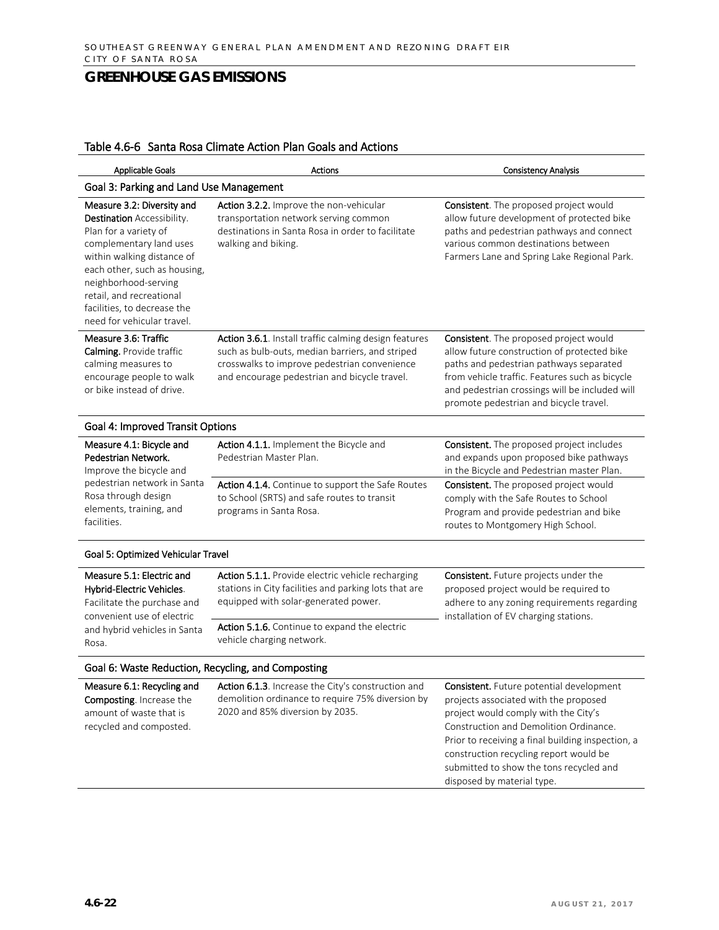## Table 4.6-6 Santa Rosa Climate Action Plan Goals and Actions

| <b>Applicable Goals</b>                                                                                                                                                                                                                                                                     | Actions                                                                                                                                                                                                  | <b>Consistency Analysis</b>                                                                                                                                                                                                                                                                                                                 |
|---------------------------------------------------------------------------------------------------------------------------------------------------------------------------------------------------------------------------------------------------------------------------------------------|----------------------------------------------------------------------------------------------------------------------------------------------------------------------------------------------------------|---------------------------------------------------------------------------------------------------------------------------------------------------------------------------------------------------------------------------------------------------------------------------------------------------------------------------------------------|
| Goal 3: Parking and Land Use Management                                                                                                                                                                                                                                                     |                                                                                                                                                                                                          |                                                                                                                                                                                                                                                                                                                                             |
| Measure 3.2: Diversity and<br>Destination Accessibility.<br>Plan for a variety of<br>complementary land uses<br>within walking distance of<br>each other, such as housing,<br>neighborhood-serving<br>retail, and recreational<br>facilities, to decrease the<br>need for vehicular travel. | Action 3.2.2. Improve the non-vehicular<br>transportation network serving common<br>destinations in Santa Rosa in order to facilitate<br>walking and biking.                                             | Consistent. The proposed project would<br>allow future development of protected bike<br>paths and pedestrian pathways and connect<br>various common destinations between<br>Farmers Lane and Spring Lake Regional Park.                                                                                                                     |
| Measure 3.6: Traffic<br>Calming. Provide traffic<br>calming measures to<br>encourage people to walk<br>or bike instead of drive.                                                                                                                                                            | Action 3.6.1. Install traffic calming design features<br>such as bulb-outs, median barriers, and striped<br>crosswalks to improve pedestrian convenience<br>and encourage pedestrian and bicycle travel. | <b>Consistent</b> . The proposed project would<br>allow future construction of protected bike<br>paths and pedestrian pathways separated<br>from vehicle traffic. Features such as bicycle<br>and pedestrian crossings will be included will<br>promote pedestrian and bicycle travel.                                                      |
| Goal 4: Improved Transit Options                                                                                                                                                                                                                                                            |                                                                                                                                                                                                          |                                                                                                                                                                                                                                                                                                                                             |
| Measure 4.1: Bicycle and<br>Pedestrian Network.<br>Improve the bicycle and                                                                                                                                                                                                                  | Action 4.1.1. Implement the Bicycle and<br>Pedestrian Master Plan.                                                                                                                                       | <b>Consistent.</b> The proposed project includes<br>and expands upon proposed bike pathways<br>in the Bicycle and Pedestrian master Plan.                                                                                                                                                                                                   |
| pedestrian network in Santa<br>Rosa through design<br>elements, training, and<br>facilities.                                                                                                                                                                                                | Action 4.1.4. Continue to support the Safe Routes<br>to School (SRTS) and safe routes to transit<br>programs in Santa Rosa.                                                                              | Consistent. The proposed project would<br>comply with the Safe Routes to School<br>Program and provide pedestrian and bike<br>routes to Montgomery High School.                                                                                                                                                                             |
| Goal 5: Optimized Vehicular Travel                                                                                                                                                                                                                                                          |                                                                                                                                                                                                          |                                                                                                                                                                                                                                                                                                                                             |
| Measure 5.1: Electric and<br>Hybrid-Electric Vehicles.<br>Facilitate the purchase and<br>convenient use of electric<br>and hybrid vehicles in Santa<br>Rosa.                                                                                                                                | Action 5.1.1. Provide electric vehicle recharging<br>stations in City facilities and parking lots that are<br>equipped with solar-generated power.                                                       | <b>Consistent.</b> Future projects under the<br>proposed project would be required to<br>adhere to any zoning requirements regarding<br>installation of EV charging stations.                                                                                                                                                               |
|                                                                                                                                                                                                                                                                                             | Action 5.1.6. Continue to expand the electric<br>vehicle charging network.                                                                                                                               |                                                                                                                                                                                                                                                                                                                                             |
| Goal 6: Waste Reduction, Recycling, and Composting                                                                                                                                                                                                                                          |                                                                                                                                                                                                          |                                                                                                                                                                                                                                                                                                                                             |
| Composting. Increase the<br>amount of waste that is<br>recycled and composted.                                                                                                                                                                                                              | Measure 6.1: Recycling and Action 6.1.3. Increase the City's construction and<br>demolition ordinance to require 75% diversion by<br>2020 and 85% diversion by 2035.                                     | Consistent. Future potential development<br>projects associated with the proposed<br>project would comply with the City's<br>Construction and Demolition Ordinance.<br>Prior to receiving a final building inspection, a<br>construction recycling report would be<br>submitted to show the tons recycled and<br>disposed by material type. |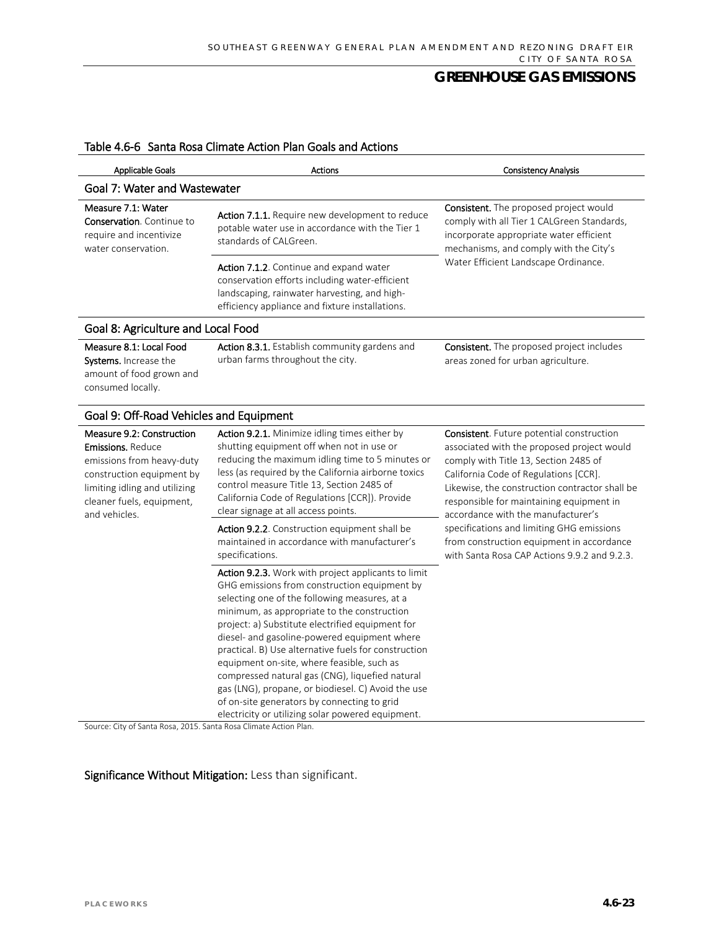| <b>Applicable Goals</b>                                                                                                                                                                        | Actions                                                                                                                                                                                                                                                                                                                                                                                                                                                                                                                                                                                                                    | <b>Consistency Analysis</b>                                                                                                                                                                                                                                                                                                                                                                                                                                    |  |
|------------------------------------------------------------------------------------------------------------------------------------------------------------------------------------------------|----------------------------------------------------------------------------------------------------------------------------------------------------------------------------------------------------------------------------------------------------------------------------------------------------------------------------------------------------------------------------------------------------------------------------------------------------------------------------------------------------------------------------------------------------------------------------------------------------------------------------|----------------------------------------------------------------------------------------------------------------------------------------------------------------------------------------------------------------------------------------------------------------------------------------------------------------------------------------------------------------------------------------------------------------------------------------------------------------|--|
| Goal 7: Water and Wastewater                                                                                                                                                                   |                                                                                                                                                                                                                                                                                                                                                                                                                                                                                                                                                                                                                            |                                                                                                                                                                                                                                                                                                                                                                                                                                                                |  |
| Measure 7.1: Water<br><b>Conservation.</b> Continue to<br>require and incentivize<br>water conservation.                                                                                       | Action 7.1.1. Require new development to reduce<br>potable water use in accordance with the Tier 1<br>standards of CALGreen.                                                                                                                                                                                                                                                                                                                                                                                                                                                                                               | <b>Consistent.</b> The proposed project would<br>comply with all Tier 1 CALGreen Standards,<br>incorporate appropriate water efficient<br>mechanisms, and comply with the City's                                                                                                                                                                                                                                                                               |  |
|                                                                                                                                                                                                | Action 7.1.2. Continue and expand water<br>conservation efforts including water-efficient<br>landscaping, rainwater harvesting, and high-<br>efficiency appliance and fixture installations.                                                                                                                                                                                                                                                                                                                                                                                                                               | Water Efficient Landscape Ordinance.                                                                                                                                                                                                                                                                                                                                                                                                                           |  |
| Goal 8: Agriculture and Local Food                                                                                                                                                             |                                                                                                                                                                                                                                                                                                                                                                                                                                                                                                                                                                                                                            |                                                                                                                                                                                                                                                                                                                                                                                                                                                                |  |
| Measure 8.1: Local Food<br>Systems. Increase the<br>amount of food grown and<br>consumed locally.                                                                                              | Action 8.3.1. Establish community gardens and<br>urban farms throughout the city.                                                                                                                                                                                                                                                                                                                                                                                                                                                                                                                                          | Consistent. The proposed project includes<br>areas zoned for urban agriculture.                                                                                                                                                                                                                                                                                                                                                                                |  |
| Goal 9: Off-Road Vehicles and Equipment                                                                                                                                                        |                                                                                                                                                                                                                                                                                                                                                                                                                                                                                                                                                                                                                            |                                                                                                                                                                                                                                                                                                                                                                                                                                                                |  |
| Measure 9.2: Construction<br><b>Emissions.</b> Reduce<br>emissions from heavy-duty<br>construction equipment by<br>limiting idling and utilizing<br>cleaner fuels, equipment,<br>and vehicles. | Action 9.2.1. Minimize idling times either by<br>shutting equipment off when not in use or<br>reducing the maximum idling time to 5 minutes or<br>less (as required by the California airborne toxics<br>control measure Title 13, Section 2485 of<br>California Code of Regulations [CCR]). Provide<br>clear signage at all access points.                                                                                                                                                                                                                                                                                | <b>Consistent.</b> Future potential construction<br>associated with the proposed project would<br>comply with Title 13, Section 2485 of<br>California Code of Regulations [CCR].<br>Likewise, the construction contractor shall be<br>responsible for maintaining equipment in<br>accordance with the manufacturer's<br>specifications and limiting GHG emissions<br>from construction equipment in accordance<br>with Santa Rosa CAP Actions 9.9.2 and 9.2.3. |  |
|                                                                                                                                                                                                | Action 9.2.2. Construction equipment shall be<br>maintained in accordance with manufacturer's<br>specifications.                                                                                                                                                                                                                                                                                                                                                                                                                                                                                                           |                                                                                                                                                                                                                                                                                                                                                                                                                                                                |  |
|                                                                                                                                                                                                | Action 9.2.3. Work with project applicants to limit<br>GHG emissions from construction equipment by<br>selecting one of the following measures, at a<br>minimum, as appropriate to the construction<br>project: a) Substitute electrified equipment for<br>diesel- and gasoline-powered equipment where<br>practical. B) Use alternative fuels for construction<br>equipment on-site, where feasible, such as<br>compressed natural gas (CNG), liquefied natural<br>gas (LNG), propane, or biodiesel. C) Avoid the use<br>of on-site generators by connecting to grid<br>electricity or utilizing solar powered equipment. |                                                                                                                                                                                                                                                                                                                                                                                                                                                                |  |

#### Table 4.6-6 Santa Rosa Climate Action Plan Goals and Actions

Source: City of Santa Rosa, 2015. Santa Rosa Climate Action Plan.

#### Significance Without Mitigation: Less than significant.